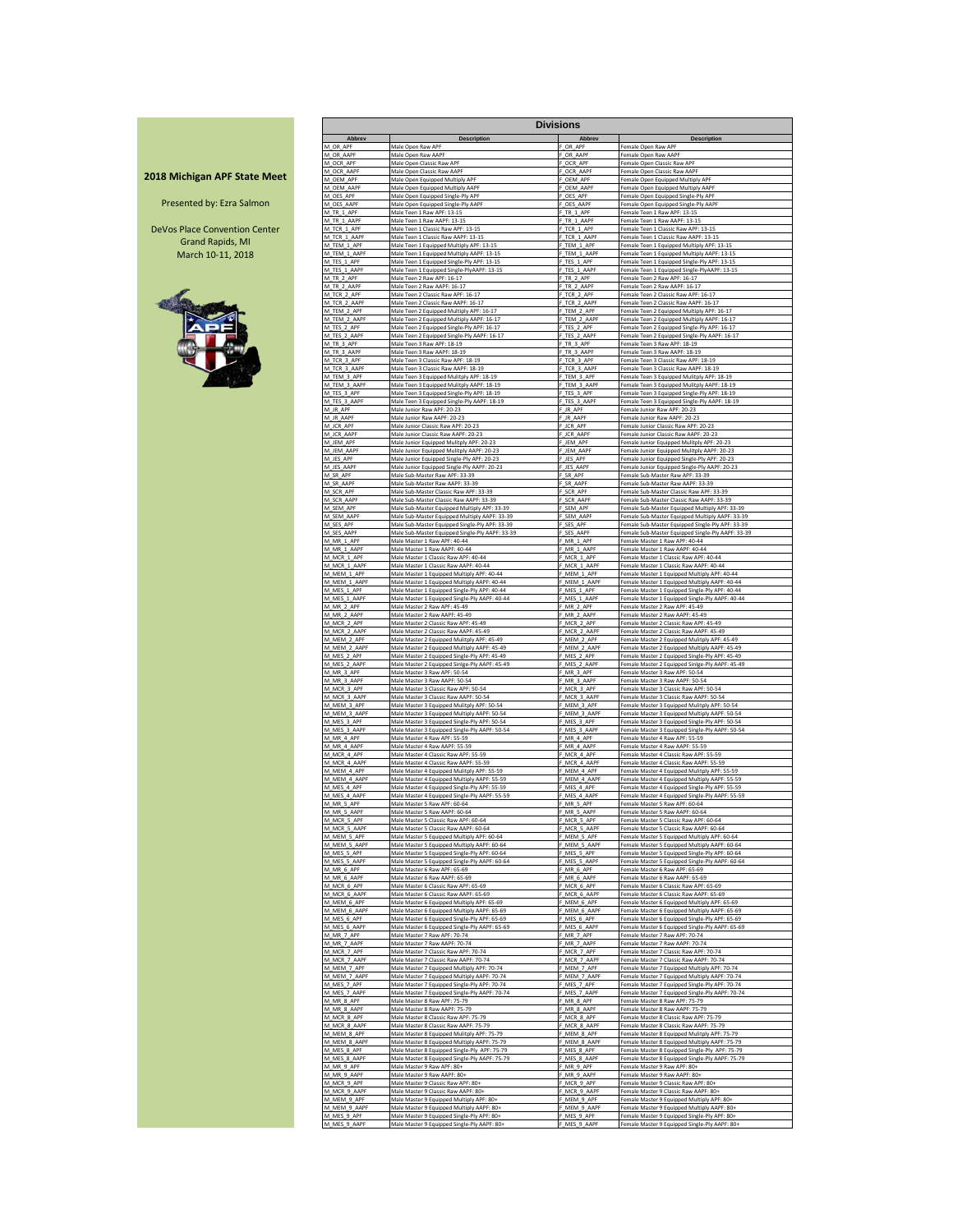#### **2018 Michigan APF State Meet**

Presented by: Ezra Salmon

DeVos Place Convention Center Grand Rapids, MI March 10-11, 2018



|                             |                                                                                               | <b>Divisions</b>            |                                                                                                 |  |
|-----------------------------|-----------------------------------------------------------------------------------------------|-----------------------------|-------------------------------------------------------------------------------------------------|--|
| Abbrev                      | Description                                                                                   | Abbrev                      | <b>Description</b>                                                                              |  |
| M OR APF                    | Male Open Raw APF                                                                             | OR APF                      | Female Open Raw APF                                                                             |  |
| M OR AAPF                   | Male Open Raw AAPF                                                                            | F OR AAPF                   | Female Open Raw AAPF                                                                            |  |
| M_OCR_APF                   | Male Open Classic Raw APF                                                                     | F OCR APF                   | Female Open Classic Raw APF                                                                     |  |
| M OCR AAPR                  | Male Open Classic Raw AAPF                                                                    | OCR AAP                     | Female Open Classic Raw AAPF                                                                    |  |
| M_OEM_APF                   | Male Open Equipped Multiply APF                                                               | F_OEM_APF                   | Female Open Equipped Multiply APF                                                               |  |
| M_OEM_AAPF                  | Male Open Equipped Multiply AAPF                                                              | F OEM AAPF                  | Female Open Equipped Multiply AAPF                                                              |  |
| M_OES_APF<br>M OES AAPF     | Male Open Equipped Single-Ply APF                                                             | F_OES_APF<br>OES AAPF       | Female Open Equipped Single-Ply APF                                                             |  |
| M_TR_1_APF                  | Male Open Equipped Single-Ply AAPF<br>Male Teen 1 Raw APF: 13-15                              | TR_1_APF                    | Female Open Equipped Single-Ply AAPF<br>Female Teen 1 Raw APF: 13-15                            |  |
| M TR 1 AAPF                 | Male Teen 1 Raw AAPF: 13-15                                                                   | F TR 1 AAPE                 | Female Teen 1 Raw AAPF: 13-15                                                                   |  |
| M_TCR_1_APF                 | Male Teen 1 Classic Raw APF: 13-15                                                            | F_TCR_1_APF                 | Female Teen 1 Classic Raw APF: 13-15                                                            |  |
| M_TCR_1_AAPF<br>M_TEM_1_APF | Male Teen 1 Classic Raw AAPF: 13-15                                                           | TCR_1_AAPF<br>TEM 1 APF     | Female Teen 1 Classic Raw AAPF: 13-15                                                           |  |
| M_TEM_1_AAPF                | Male Teen 1 Equipped Multiply APF: 13-15<br>Male Teen 1 Equipped Multiply AAPF: 13-15         | F_TEM_1_AAPF                | Female Teen 1 Equipped Multiply APF: 13-15<br>Female Teen 1 Equipped Multiply AAPF: 13-15       |  |
| M_TES_1_APF                 | Male Teen 1 Equipped Single-Ply APF: 13-15                                                    | F_TES_1_APF                 | Female Teen 1 Equipped Single-Ply APF: 13-15                                                    |  |
| M_TES_1_AAPF                | Male Teen 1 Equipped Single-PlyAAPF: 13-15                                                    | TES_1_AAPF                  | Female Teen 1 Equipped Single-PlyAAPF: 13-15                                                    |  |
| M TR 2 APF                  | Male Teen 2 Raw APF: 16-17                                                                    | TR_2_APF                    | Female Teen 2 Raw APF: 16-17                                                                    |  |
| M TR 2 AAPF                 | Male Teen 2 Raw AAPF: 16-17                                                                   | F TR 2 AAPF                 | Female Teen 2 Raw AAPF: 16-17                                                                   |  |
| M_TCR_2_APF                 | Male Teen 2 Classic Raw APF: 16-17                                                            | F TCR 2 APF                 | Female Teen 2 Classic Raw APF: 16-17                                                            |  |
| M TCR 2 AAPF                | Male Teen 2 Classic Raw AAPF: 16-17                                                           | TCR 2 AAPF                  | Female Teen 2 Classic Raw AAPF: 16-17                                                           |  |
| M_TEM_2_APF                 | Male Teen 2 Equipped Multiply APF: 16-17                                                      | TEM 2 APF                   | Female Teen 2 Equipped Multiply APF: 16-17                                                      |  |
| M_TEM_2_AAPF                | Male Teen 2 Equipped Multiply AAPF: 16-17                                                     | F_TEM_2_AAPF                | Female Teen 2 Equipped Multiply AAPF: 16-17                                                     |  |
| M_TES_2_APF                 | Male Teen 2 Equipped Single-Ply APF: 16-17                                                    | F_TES_2_APF                 | Female Teen 2 Equipped Single-Ply APF: 16-17                                                    |  |
| M_TES_2_AAPF                | Male Teen 2 Equipped Single-Ply AAPF: 16-17                                                   | TES_2_AAPF                  | Female Teen 2 Equipped Single-Ply AAPF: 16-17                                                   |  |
| M TR 3 APF                  | Male Teen 3 Raw APF: 18-19                                                                    | TR 3 APF                    | Female Teen 3 Raw APF: 18-19                                                                    |  |
| M_TR_3_AAPF                 | Male Teen 3 Raw AAPF: 18-19                                                                   | TR_3_AAPF                   | Female Teen 3 Raw AAPF: 18-19                                                                   |  |
| M TCR 3 APF                 | Male Teen 3 Classic Raw APF: 18-19                                                            | F TCR 3 APF                 | Female Teen 3 Classic Raw APF: 18-19                                                            |  |
| M_TCR_3_AAPF                | Male Teen 3 Classic Raw AAPF: 18-19                                                           | F_TCR_3_AAPF                | Female Teen 3 Classic Raw AAPF: 18-19                                                           |  |
| M_TEM_3_APF                 | Male Teen 3 Equipped Mulitply APF: 18-19                                                      | TEM_3_APF                   | Female Teen 3 Equipped Mulitply APF: 18-19                                                      |  |
| M TEM 3 AAPF                | Male Teen 3 Equipped Mulitply AAPF: 18-19                                                     | F_TEM_3_AAPF                | Female Teen 3 Equipped Mulitply AAPF: 18-19                                                     |  |
| M_TES_3_APF                 | Male Teen 3 Equipped Single-Ply APF: 18-19                                                    | F TES 3 APF                 | Female Teen 3 Equipped Single-Ply APF: 18-19                                                    |  |
| M_TES_3_AAPF                | Male Teen 3 Equipped Single-Ply AAPF: 18-19                                                   | F_TES_3_AAPF                | Female Teen 3 Equipped Single-Ply AAPF: 18-19                                                   |  |
| M JR APF                    | Male Junior Raw APF: 20-23                                                                    | JR APF                      | Female Junior Raw APF: 20-23                                                                    |  |
| M JR AAPF                   | Male Junior Raw AAPF: 20-23                                                                   | F JR AAPF                   | Female Junior Raw AAPF: 20-23                                                                   |  |
| M JCR APF                   | Male Junior Classic Raw APF: 20-23                                                            | F JCR APF                   | Female Junior Classic Raw APF: 20-23                                                            |  |
| M_JCR_AAPF                  | Male Junior Classic Raw AAPF: 20-23                                                           | F_JCR_AAPF                  | Female Junior Classic Raw AAPF: 20-23                                                           |  |
| M JEM APF<br>M JEM AAPF     | Male Junior Equipped Mulitply APF: 20-23                                                      | F JEM APF<br>JEM_AAPF       | Female Junior Equipped Mulitply APF: 20-23                                                      |  |
| M_JES_APF                   | Male Junior Equipped Mulitply AAPF: 20-23<br>Male Junior Equipped Single-Ply APF: 20-23       | F_JES_APF                   | Female Junior Equipped Mulitply AAPF: 20-23<br>Female Junior Equipped Single-Ply APF: 20-23     |  |
| M_JES_AAPF                  | Male Junior Equipped Single-Ply AAPF: 20-23                                                   | F_JES_AAPF                  | Female Junior Equipped Single-Ply AAPF: 20-23                                                   |  |
| M_SR_APF                    | Male Sub-Master Raw APF: 33-39                                                                | F_SR_APF                    | Female Sub-Master Raw APF: 33-39                                                                |  |
| M_SR_AAPF                   | Male Sub-Master Raw AAPF: 33-39                                                               | SR_AAPF                     | Female Sub-Master Raw AAPF: 33-3!                                                               |  |
| M_SCR_APF                   | Male Sub-Master Classic Raw APF: 33-39                                                        | F_SCR_APF                   | Female Sub-Master Classic Raw APF: 33-39                                                        |  |
| M_SCR_AAPF                  | Male Sub-Master Classic Raw AAPF: 33-39                                                       | F SCR AAPF                  | Female Sub-Master Classic Raw AAPF: 33-39                                                       |  |
| M SEM APF                   | Male Sub-Master Equipped Multiply APF: 33-39                                                  | F SEM APF                   | Female Sub-Master Equipped Multiply APF: 33-39                                                  |  |
| M_SEM_AAPF                  | Male Sub-Master Equipped Multiply AAPF: 33-39                                                 | SEM AAPF                    | Female Sub-Master Equipped Multiply AAPF: 33-39                                                 |  |
| M SES APF                   | Male Sub-Master Equipped Single-Ply APF: 33-39                                                | F SES APF                   | Female Sub-Master Equipped Single-Ply APF: 33-39                                                |  |
| M SES AAPF                  | Male Sub-Master Equipped Single-Ply AAPF: 33-39                                               | F SES AAPF                  | Female Sub-Master Equipped Single-Ply AAPF: 33-39                                               |  |
| M_MR_1_APF                  | Male Master 1 Raw APF: 40-44                                                                  | F_MR_1_APF                  | Female Master 1 Raw APF: 40-44                                                                  |  |
| M MR 1 AAPF                 | Male Master 1 Raw AAPF: 40-44                                                                 | MR 1 AAP                    | Female Master 1 Raw AAPF: 40-44                                                                 |  |
| M_MCR_1_APF                 | Male Master 1 Classic Raw APF: 40-44                                                          | F_MCR_1_APF                 | Female Master 1 Classic Raw APF: 40-44                                                          |  |
| M MCR 1 AAPF                | Male Master 1 Classic Raw AAPF: 40-44                                                         | F MCR 1 AAPF                | Female Master 1 Classic Raw AAPF: 40-44                                                         |  |
| M_MEM_1_APF                 | Male Master 1 Equipped Multiply APF: 40-44                                                    | F_MEM_1_APF                 | Female Master 1 Equipped Multiply APF: 40-44                                                    |  |
| M_MEM_1_AAPF                | Male Master 1 Equipped Multiply AAPF: 40-44                                                   | MEM 1 AAPR                  | Female Master 1 Equipped Multiply AAPF: 40-44                                                   |  |
| M_MES_1_APF                 | Male Master 1 Equipped Single-Ply APF: 40-44                                                  | F_MES_1_APF                 | Female Master 1 Equipped Single-Ply APF: 40-44                                                  |  |
| M_MES_1_AAPF                | Male Master 1 Equipped Single-Ply AAPF: 40-44                                                 | F MES 1 AAPF                | Female Master 1 Equipped Single-Ply AAPF: 40-44                                                 |  |
| M_MR_2_APF                  | Male Master 2 Raw APF: 45-49                                                                  | F_MR_2_APF                  | Female Master 2 Raw APF: 45-49                                                                  |  |
| M_MR_2_AAPF                 | Male Master 2 Raw AAPF: 45-49                                                                 | MR_2_AAPF                   | Female Master 2 Raw AAPF: 45-49                                                                 |  |
| M_MCR_2_APF                 | Male Master 2 Classic Raw APF: 45-49                                                          | MCR_2_APF                   | Female Master 2 Classic Raw APF: 45-49                                                          |  |
| M_MCR_2_AAPF                | Male Master 2 Classic Raw AAPF: 45-49                                                         | F_MCR_2_AAPF                | Female Master 2 Classic Raw AAPF: 45-49                                                         |  |
| M_MEM_2_APF                 | Male Master 2 Equipped Mulitply APF: 45-49                                                    | F_MEM_2_APF                 | Female Master 2 Equipped Mulitply APF: 45-49                                                    |  |
| M MEM 2 AAPF                | Male Master 2 Equipped Multiply AAPF: 45-49                                                   | F MEM 2 AAPF                | Female Master 2 Equipped Multiply AAPF: 45-49                                                   |  |
| M_MES_2_APF                 | Male Master 2 Equipped Single-Ply APF: 45-49                                                  | MES_2_APF                   | Female Master 2 Equipped Single-Ply APF: 45-49                                                  |  |
| M_MES_2_AAPF                | Male Master 2 Equipped Sinlge-Ply AAPF: 45-49                                                 | F_MES_2_AAPF                | Female Master 2 Equipped Sinlge-Ply AAPF: 45-49                                                 |  |
| M_MR_3_APF                  | Male Master 3 Raw APF: 50-54                                                                  | F_MR_3_APF                  | Female Master 3 Raw APF: 50-54                                                                  |  |
| M_MR_3_AAPF                 | Male Master 3 Raw AAPF: 50-54                                                                 | F_MR_3_AAPF                 | Female Master 3 Raw AAPF: 50-54                                                                 |  |
| M_MCR_3_APF                 | Male Master 3 Classic Raw APF: 50-54                                                          | MCR_3_APF                   | Female Master 3 Classic Raw APF: 50-54                                                          |  |
| M_MCR_3_AAPF                | Male Master 3 Classic Raw AAPF: 50-54                                                         | F_MCR_3_AAPF                | Female Master 3 Classic Raw AAPF: 50-54                                                         |  |
| M_MEM_3_APF                 | Male Master 3 Equipped Mulitply APF: 50-54                                                    | F_MEM_3_APF                 | Female Master 3 Equipped Mulitply APF: 50-54                                                    |  |
| M_MEM_3_AAPF                | Male Master 3 Equipped Multiply AAPF: 50-54                                                   | MEM_3_AAPF                  | Female Master 3 Equipped Multiply AAPF: 50-54                                                   |  |
| M_MES_3_APF                 | Male Master 3 Equipped Single-Ply APF: 50-54                                                  | MES_3_APF                   | Female Master 3 Equipped Single-Ply APF: 50-54                                                  |  |
| M_MES_3_AAPF                | Male Master 3 Equipped Single-Ply AAPF: 50-54                                                 | F_MES_3_AAPF                | Female Master 3 Equipped Single-Ply AAPF: 50-54                                                 |  |
| M MR 4 APF                  | Male Master 4 Raw APF: 55-59                                                                  | F MR 4 APF                  | Female Master 4 Raw APF: 55-59                                                                  |  |
| M_MR_4_AAPF                 | Male Master 4 Raw AAPF: 55-59                                                                 | F_MR_4_AAPF                 | Female Master 4 Raw AAPF: 55-59                                                                 |  |
| M MCR 4 APF                 | Male Master 4 Classic Raw APF: 55-59                                                          | MCR 4 APF                   | Female Master 4 Classic Raw APF: 55-59                                                          |  |
| M MCR 4 AAPF                | Male Master 4 Classic Raw AAPF: 55-59                                                         | F_MCR_4_AAPF                | Female Master 4 Classic Raw AAPF: 55-59                                                         |  |
| M MEM 4 APF                 | Male Master 4 Equipped Mulitply APF: 55-59                                                    | F MEM 4 APF                 | Female Master 4 Equipped Mulitply APF: 55-59                                                    |  |
| M_MEM_4_AAPF                | Male Master 4 Equipped Multiply AAPF: 55-59                                                   | F_MEM_4_AAPF                | Female Master 4 Equipped Multiply AAPF: 55-59                                                   |  |
| M MES 4 APF                 | Male Master 4 Equipped Single-Ply APF: 55-59                                                  | MES 4 APF                   | Female Master 4 Equipped Single-Ply APF: 55-59                                                  |  |
| M_MES_4_AAPF                | Male Master 4 Equipped Single-Ply AAPF: 55-59                                                 | F MES 4 AAPF                | Female Master 4 Equipped Single-Ply AAPF: 55-59                                                 |  |
| M_MR_5_APF                  | Male Master 5 Raw APF: 60-64                                                                  | F_MR_5_APF                  | Female Master 5 Raw APF: 60-64                                                                  |  |
| M_MR_5_AAPF                 | Male Master 5 Raw AAPF: 60-64                                                                 | F MR 5 AAPF                 | Female Master 5 Raw AAPF: 60-64                                                                 |  |
| M_MCR_5_APF                 | Male Master 5 Classic Raw APF: 60-64                                                          | MCR_5_APF                   | Female Master 5 Classic Raw APF: 60-64                                                          |  |
| M MCR 5 AAPF<br>M_MEM_5_APF | Male Master 5 Classic Raw AAPF: 60-64                                                         | MCR 5 AAPF<br>F_MEM_5_APF   | Female Master 5 Classic Raw AAPF: 60-64                                                         |  |
| M_MEM_5_AAPF                | Male Master 5 Equipped Multiply APF: 60-64<br>Male Master 5 Equipped Multiply AAPF: 60-64     | F_MEM_5_AAPF                | Female Master 5 Equipped Multiply APF: 60-64<br>Female Master 5 Equipped Multiply AAPF: 60-64   |  |
| M MES 5 APF                 | Male Master 5 Equipped Single-Ply APF: 60-64                                                  | F_MES_5_APF                 | Female Master 5 Equipped Single-Ply APF: 60-64                                                  |  |
| M MES 5 AAPF                | Male Master 5 Equipped Single-Ply AAPF: 60-64                                                 | MES_5_AAPF                  | Female Master 5 Equipped Single-Ply AAPF: 60-64                                                 |  |
| M_MR_6_APF                  | Male Master 6 Raw APF: 65-69                                                                  | F_MR_6_APF                  | Female Master 6 Raw APF: 65-69                                                                  |  |
| M_MR_6_AAPF                 | Male Master 6 Raw AAPF: 65-69                                                                 | F_MR_6_AAPF                 | Female Master 6 Raw AAPF: 65-69                                                                 |  |
| M_MCR_6_APF                 | Male Master 6 Classic Raw APF: 65-69                                                          | F_MCR_6_APF                 | Female Master 6 Classic Raw APF: 65-69                                                          |  |
| M_MCR_6_AAPF                | Male Master 6 Classic Raw AAPF: 65-69                                                         | MCR 6 AAPF                  | Female Master 6 Classic Raw AAPF: 65-69                                                         |  |
| M_MEM_6_APF                 | Male Master 6 Equipped Multiply APF: 65-69                                                    | MEM_6_APF                   | Female Master 6 Equipped Multiply APF: 65-69                                                    |  |
| M_MEM_6_AAPF<br>M MES 6 APF | Male Master 6 Equipped Multiply AAPF: 65-69                                                   | F_MEM_6_AAPF<br>F MES 6 APF | Female Master 6 Equipped Multiply AAPF: 65-69<br>Female Master 6 Equipped Single-Ply APF: 65-69 |  |
| M MFS 6 AAPR                | Male Master 6 Equipped Single-Ply APF: 65-69<br>Male Master 6 Equipped Single-Ply AAPF: 65-69 | MES 6 AAPF                  | Female Master 6 Equipped Single-Ply AAPF: 65-69                                                 |  |
| M_MR_7_APF                  | Male Master 7 Raw APF: 70-74                                                                  | F MR 7 APF                  | Female Master 7 Raw APF: 70-74                                                                  |  |
| M MR 7 AAPF                 | Male Master 7 Raw AAPF: 70-74                                                                 | F MR 7 AAPF                 | Female Master 7 Raw AAPF: 70-74                                                                 |  |
| M_MCR_7_APF<br>M MCR 7 AAPE | Male Master 7 Classic Raw APF: 70-74<br>Male Master 7 Classic Raw AAPF: 70-74                 | F_MCR_7_APF<br>MCR 7 AAPF   | Female Master 7 Classic Raw APF: 70-74                                                          |  |
| M_MEM_7_APF                 | Male Master 7 Equipped Multiply APF: 70-74                                                    | F_MEM_7_APF                 | Female Master 7 Classic Raw AAPF: 70-74<br>Female Master 7 Equipped Multiply APF: 70-74         |  |
| M MEM 7 AAPF                | Male Master 7 Equipped Multiply AAPF: 70-74                                                   | F MEM 7 AAPF                | Female Master 7 Equipped Multiply AAPF: 70-74                                                   |  |
| M_MES_7_APF                 | Male Master 7 Equipped Single-Ply APF: 70-74                                                  | F_MES_7_APF                 | Female Master 7 Equipped Single-Ply APF: 70-74                                                  |  |
| M_MES_7_AAPF                | Male Master 7 Equipped Single-Ply AAPF: 70-74                                                 | MES_7_AAPF                  | Female Master 7 Equipped Single-Ply AAPF: 70-74                                                 |  |
| M MR 8 APF                  | Male Master 8 Raw APF: 75-79                                                                  | MR 8 APF                    | Female Master 8 Raw APF: 75-79                                                                  |  |
| M MR 8 AAPF                 | Male Master 8 Raw AAPF: 75-79                                                                 | F MR 8 AAPF                 | Female Master 8 Raw AAPF: 75-79                                                                 |  |
| M_MCR_8_APF                 | Male Master 8 Classic Raw APF: 75-79                                                          | F MCR 8 APF                 | Female Master 8 Classic Raw APF: 75-79                                                          |  |
| M MCR 8 AAPF                | Male Master 8 Classic Raw AAPF: 75-79                                                         | F MCR 8 AAPF                | Female Master 8 Classic Raw AAPF: 75-79                                                         |  |
| M MEM 8 APF                 | Male Master 8 Equipped Mulitply APF: 75-79                                                    | MEM 8 APF                   | Female Master 8 Equipped Mulitply APF: 75-79                                                    |  |
| M_MEM_8_AAPF                | Male Master 8 Equipped Multiply AAPF: 75-79                                                   | F_MEM_8_AAPF                | Female Master 8 Equipped Multiply AAPF: 75-79                                                   |  |
| M_MES_8_APF                 | Male Master 8 Equipped Single-Ply APF: 75-79                                                  | F MES 8 APF                 | Female Master 8 Equipped Single-Ply APF: 75-79                                                  |  |
| M_MES_8_AAPF                | Male Master 8 Equipped Single-Ply AAPF: 75-79                                                 | F_MES_8_AAPF                | Female Master 8 Equipped Single-Ply AAPF: 75-79                                                 |  |
| M_MR_9_APF                  | Male Master 9 Raw APF: 80+                                                                    | MR_9_APF                    | Female Master 9 Raw APF: 80+                                                                    |  |
| M MR 9 AAPF                 | Male Master 9 Raw AAPF: 80+                                                                   | F MR 9 AAPF                 | Female Master 9 Raw AAPF: 80+                                                                   |  |
| M_MCR_9_APF                 | Male Master 9 Classic Raw APF: 80+                                                            | F_MCR_9_APF                 | Female Master 9 Classic Raw APF: 80+                                                            |  |
| M_MCR_9_AAPF                | Male Master 9 Classic Raw AAPF: 80+                                                           | MCR_9_AAPF                  | Female Master 9 Classic Raw AAPF: 80+                                                           |  |
| M_MEM_9_APF<br>M_MEM_9_AAPF | Male Master 9 Equipped Multiply APF: 80+                                                      | MEM_9_APF<br>MEM 9 AAPR     | Female Master 9 Equipped Multiply APF: 80+                                                      |  |
| M MES 9 APF                 | Male Master 9 Equipped Multiply AAPF: 80<br>Male Master 9 Equipped Single-Ply APF: 80+        | F MES 9 APF                 | Female Master 9 Equipped Multiply AAPF: 80+<br>Female Master 9 Equipped Single-Ply APF: 80+     |  |
| M_MES_9_AAPF                | Male Master 9 Equipped Single-Ply AAPF: 80+                                                   | F_MES_9_AAPF                | Female Master 9 Equipped Single-Ply AAPF: 80+                                                   |  |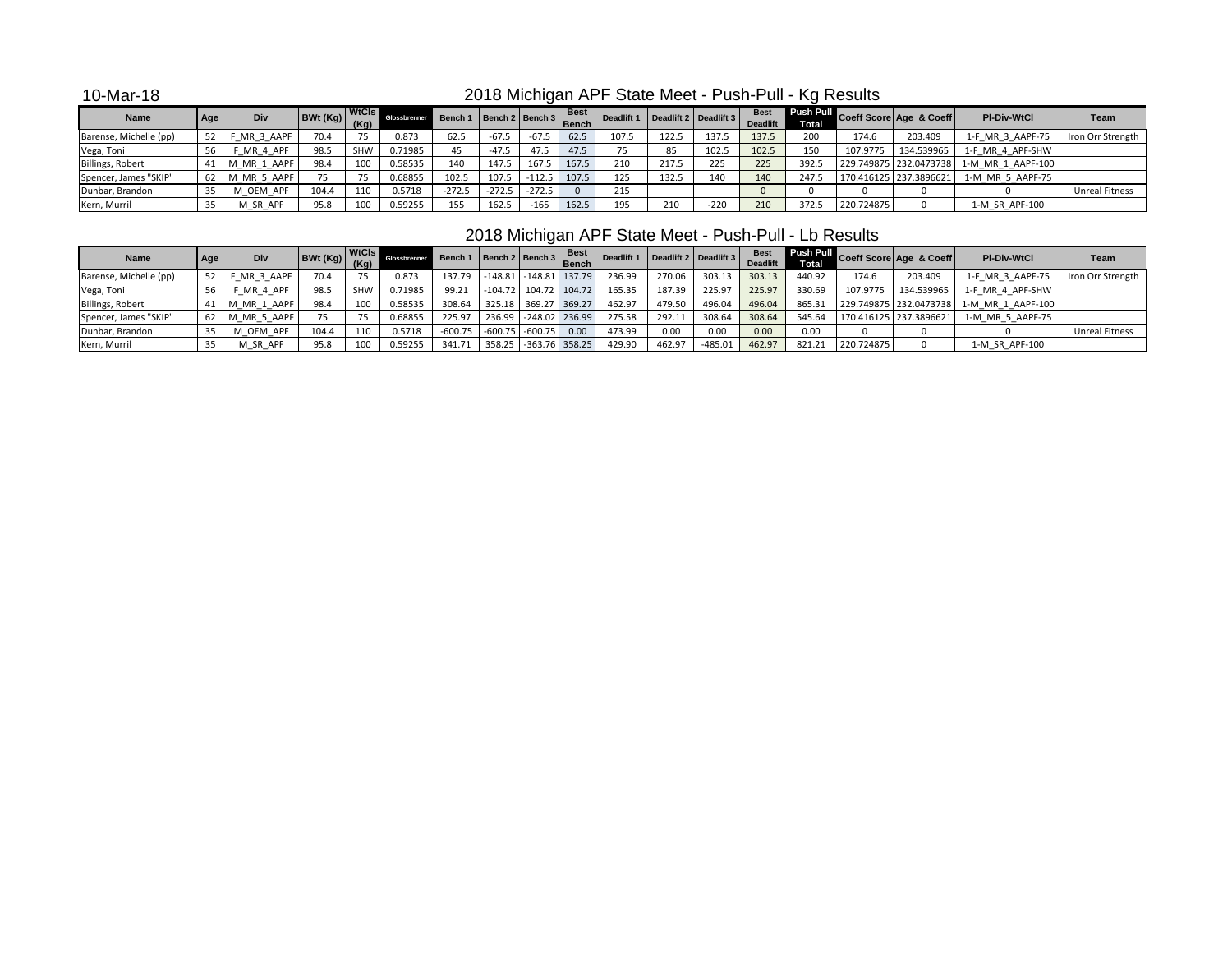10-Mar-18

# 2018 Michigan APF State Meet - Push-Pull - Kg Results

| <b>Name</b>            | Age | Div         | $BWt(Kg)$ $(Kg)$ | <b>WtCls</b> | Glossbrenne | Bench 1 Bench 2 Bench 3 |          |          | <b>Best</b><br><b>Bench</b> | Deadlift 1 |       | Deadlift 2 Deadlift 3 | <b>Deadlift</b> | <b>Total</b> |            | <b>Push Pull Coeff Score Age &amp; Coeff   New York   New York   New York   New York   New York   New York   New York   New York   New York   New York   New York   New York   New York   New York   New York   New York   New York </b> | <b>PI-Div-WtCl</b> | Team                  |
|------------------------|-----|-------------|------------------|--------------|-------------|-------------------------|----------|----------|-----------------------------|------------|-------|-----------------------|-----------------|--------------|------------|------------------------------------------------------------------------------------------------------------------------------------------------------------------------------------------------------------------------------------------|--------------------|-----------------------|
| Barense, Michelle (pp) |     | MR 3 AAPF   | 70.4             | 75           | 0.873       | 62.5                    | $-67.5$  | $-67.5$  | 62.5                        | 107.5      | 122.5 | 137.5                 | 137.5           | 200          | 174.6      | 203.409                                                                                                                                                                                                                                  | 1-F MR 3 AAPF-75   | Iron Orr Strength     |
| Vega, Toni             |     | MR 4 APF    | 98.5             | SHW          | 0.71985     | 45                      | $-47.5$  | 47.5     | 47.5                        |            |       | 102.5                 | 102.5           | 150          | 107.9775   | 134.539965                                                                                                                                                                                                                               | 1-F MR 4 APF-SHW   |                       |
| Billings, Robert       |     | M MR 1 AAPF | 98.4             | 100          | 0.58535     | 140                     | 147.5    | 167.5    | 167.5                       | 210        | 217.5 | 225                   | 225             | 392.5        |            | 229.749875 232.0473738                                                                                                                                                                                                                   | 1-M MR 1 AAPF-100  |                       |
| Spencer, James "SKIP"  | 62  | M MR 5 AAPF |                  |              | 0.68855     | 102.5                   | 107.5    | $-112.5$ | 107.5                       | 125        | 132.5 | 140                   | 140             | 247.5        |            | 170.416125 237.3896621                                                                                                                                                                                                                   | 1-M MR 5 AAPF-75   |                       |
| Dunbar, Brandon        |     | M OEM APF   | 104.4            | 110          | 0.5718      | $-272.5$                | $-272.5$ | $-272.5$ |                             | 215        |       |                       |                 |              |            |                                                                                                                                                                                                                                          |                    | <b>Unreal Fitness</b> |
| Kern, Murril           |     | M SR APF    | 95.8             | 100          | 0.59255     | 155                     | 162.5    | $-165$   | 162.5                       | 195        | 210   | $-220$                | 210             | 372.5        | 220.724875 |                                                                                                                                                                                                                                          | 1-M SR APF-100     |                       |

# 2018 Michigan APF State Meet - Push-Pull - Lb Results

| <b>Name</b>            | Age | Div         | $\begin{array}{ c c c c c }\n\hline\n\text{BWt (Kg)} & \text{(Kg)}\n\hline\n\end{array}$ | <b>WtCls</b> | Glossbrenne | Bench 1   Bench 2   Bench 3   Bench   Deadline |           |                        | <b>Best</b> | Deadlift 1 | Deadlift 2 Deadlift 3 |           | <b>Deadlift</b> | Total <sub>2</sub> |            | Push Pull Coeff Score Age & Coeff | <b>PI-Div-WtCl</b>                       | Team                  |
|------------------------|-----|-------------|------------------------------------------------------------------------------------------|--------------|-------------|------------------------------------------------|-----------|------------------------|-------------|------------|-----------------------|-----------|-----------------|--------------------|------------|-----------------------------------|------------------------------------------|-----------------------|
| Barense, Michelle (pp) | 52  | F MR 3 AAPF | 70.4                                                                                     |              | 0.873       | 137.79                                         |           | -148.81 -148.81 137.79 |             | 236.99     | 270.06                | 303.13    | 303.13          | 440.92             | 174.6      | 203.409                           | 1-F MR 3 AAPF-75                         | Iron Orr Strength     |
| Vega, Toni             |     | MR 4 APF    | 98.5                                                                                     | <b>SHW</b>   | 0.71985     | 99.21                                          | $-104.72$ | 104.72                 | 104.72      | 165.35     | 187.39                | 225.97    | 225.97          | 330.69             | 107.9775   | 134.539965                        | 1-F MR 4 APF-SHW                         |                       |
| Billings, Robert       |     | M MR 1 AAPF | 98.4                                                                                     | 100          | 0.58535     | 308.64                                         | 325.18    | 369.27 369.27          |             | 462.97     | 479.50                | 496.04    | 496.04          | 865.31             |            |                                   | 229.749875 232.0473738 1-M MR 1 AAPF-100 |                       |
| Spencer, James "SKIP"  | 62  | M MR 5 AAPF |                                                                                          |              | 0.6885      | 225.97                                         | 236.99    | $-248.02$ 236.99       |             | 275.58     | 292.11                | 308.64    | 308.64          | 545.64             |            | 170.416125 237.3896621            | 1-M MR 5 AAPF-75                         |                       |
| Dunbar, Brandon        |     | M OEM APF   | 104.4                                                                                    | 110          | 0.5718      | -600.75                                        | $-600.75$ | $-600.75$              | 0.00        | 473.99     | 0.00                  | 0.00      | 0.00            | 0.00               |            |                                   |                                          | <b>Unreal Fitness</b> |
| Kern, Murril           |     | M SR APF    | 95.8                                                                                     | 100          | 0.59255     | 341.71                                         | 358.25    | $-363.76$ 358.25       |             | 429.90     | 462.97                | $-485.01$ | 462.97          | 821.21             | 220.724875 |                                   | 1-M SR APF-100                           |                       |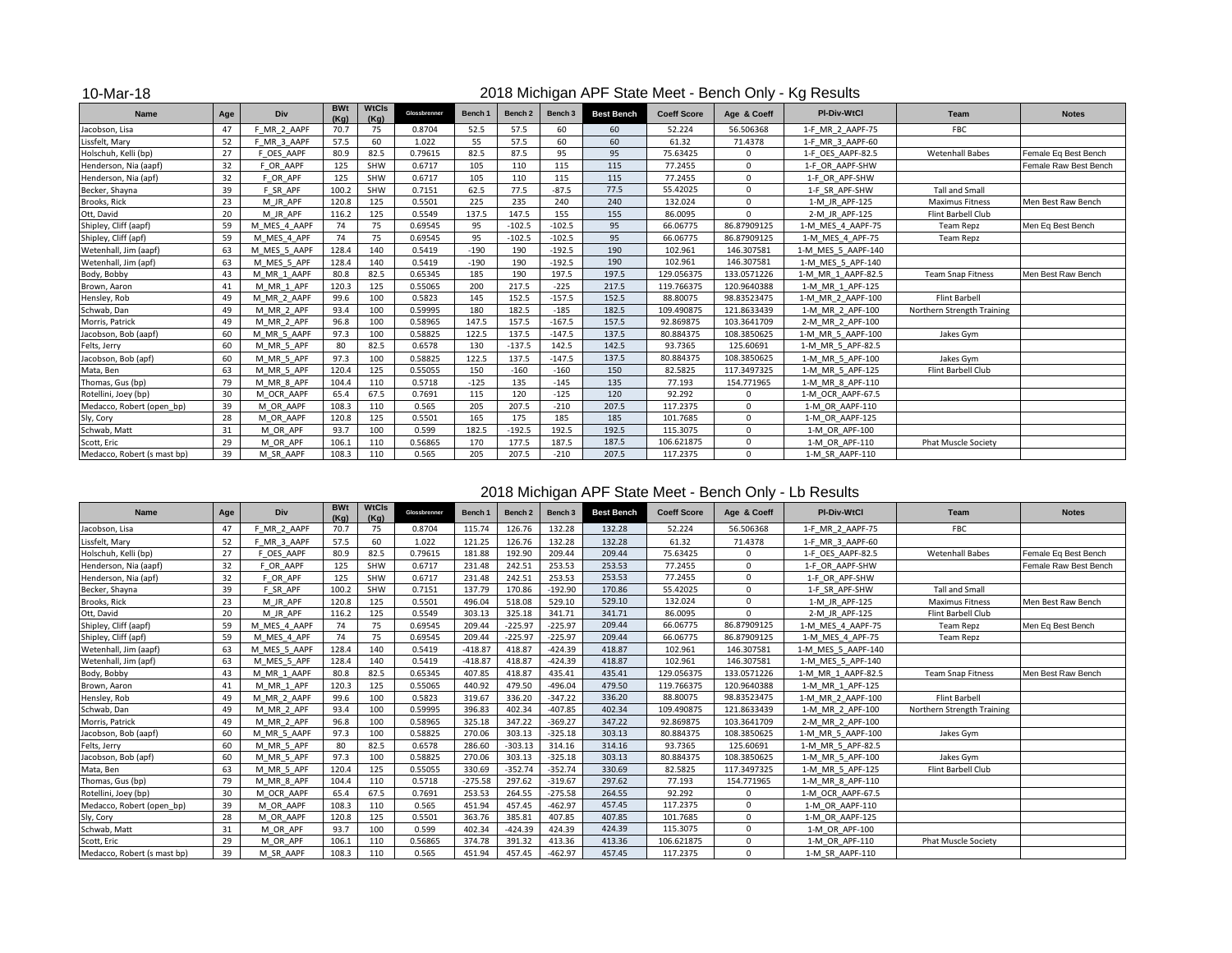#### 10-Mar-18

#### 2018 Michigan APF State Meet - Bench Only - Kg Results

| Name                        | Age | Div          | <b>BWt</b><br>(Ka) | <b>WtCls</b><br>(Ka) | Glossbrenner | Bench <sub>1</sub> | Bench <sub>2</sub> | Bench <sub>3</sub> | <b>Best Bench</b> | <b>Coeff Score</b> | Age & Coeff  | <b>PI-Div-WtCl</b> | <b>Team</b>                | <b>Notes</b>          |
|-----------------------------|-----|--------------|--------------------|----------------------|--------------|--------------------|--------------------|--------------------|-------------------|--------------------|--------------|--------------------|----------------------------|-----------------------|
| Jacobson, Lisa              | 47  | MR 2 AAPF    | 70.7               | 75                   | 0.8704       | 52.5               | 57.5               | 60                 | 60                | 52.224             | 56.506368    | 1-F MR 2 AAPF-75   | <b>FBC</b>                 |                       |
| Lissfelt, Mary              | 52  | F MR 3 AAPF  | 57.5               | 60                   | 1.022        | 55                 | 57.5               | 60                 | 60                | 61.32              | 71.4378      | 1-F MR 3 AAPF-60   |                            |                       |
| Holschuh, Kelli (bp)        | 27  | F OES AAPF   | 80.9               | 82.5                 | 0.79615      | 82.5               | 87.5               | 95                 | 95                | 75.63425           | O            | 1-F OES AAPF-82.5  | <b>Wetenhall Babes</b>     | Female Eq Best Bench  |
| Henderson, Nia (aapf)       | 32  | OR AAPF      | 125                | SHW                  | 0.6717       | 105                | 110                | 115                | 115               | 77.2455            | <sup>n</sup> | 1-F OR AAPF-SHW    |                            | Female Raw Best Bench |
| Henderson, Nia (apf)        | 32  | F OR APF     | 125                | SHW                  | 0.6717       | 105                | 110                | 115                | 115               | 77.2455            | $\Omega$     | 1-F OR APF-SHW     |                            |                       |
| Becker, Shayna              | 39  | F SR APF     | 100.2              | SHW                  | 0.7151       | 62.5               | 77.5               | $-87.5$            | 77.5              | 55.42025           | $\Omega$     | 1-F SR APF-SHW     | <b>Tall and Small</b>      |                       |
| Brooks, Rick                | 23  | M JR APF     | 120.8              | 125                  | 0.5501       | 225                | 235                | 240                | 240               | 132.024            | $\Omega$     | 1-M JR APF-125     | <b>Maximus Fitness</b>     | Men Best Raw Bench    |
| Ott, David                  | 20  | M JR APF     | 116.2              | 125                  | 0.5549       | 137.5              | 147.5              | 155                | 155               | 86.0095            | $\Omega$     | 2-M JR APF-125     | Flint Barbell Club         |                       |
| Shipley, Cliff (aapf)       | 59  | M MES 4 AAPF | 74                 | 75                   | 0.69545      | 95                 | $-102.5$           | $-102.5$           | 95                | 66.06775           | 86.87909125  | 1-M MES 4 AAPF-75  | <b>Team Repz</b>           | Men Eq Best Bench     |
| Shipley, Cliff (apf)        | 59  | M MES 4 APF  | 74                 | 75                   | 0.69545      | 95                 | $-102.5$           | $-102.5$           | 95                | 66.06775           | 86.87909125  | 1-M MES 4 APF-75   | <b>Team Repz</b>           |                       |
| Wetenhall, Jim (aapf)       | 63  | M MES 5 AAPF | 128.4              | 140                  | 0.5419       | $-190$             | 190                | $-192.5$           | 190               | 102.961            | 146.307581   | 1-M MES 5 AAPF-140 |                            |                       |
| Wetenhall, Jim (apf)        | 63  | M MES 5 APF  | 128.4              | 140                  | 0.5419       | $-190$             | 190                | $-192.5$           | 190               | 102.961            | 146.307581   | 1-M MES 5 APF-140  |                            |                       |
| Body, Bobby                 | 43  | M MR 1 AAPF  | 80.8               | 82.5                 | 0.65345      | 185                | 190                | 197.5              | 197.5             | 129.056375         | 133.0571226  | 1-M MR 1 AAPF-82.5 | <b>Team Snap Fitness</b>   | Men Best Raw Bench    |
| Brown, Aaron                | 41  | M MR 1 APF   | 120.3              | 125                  | 0.55065      | 200                | 217.5              | $-225$             | 217.5             | 119.766375         | 120.9640388  | 1-M MR 1 APF-125   |                            |                       |
| Hensley, Rob                | 49  | M MR 2 AAPF  | 99.6               | 100                  | 0.5823       | 145                | 152.5              | $-157.5$           | 152.5             | 88.80075           | 98.83523475  | 1-M MR 2 AAPF-100  | Flint Barbell              |                       |
| Schwab, Dan                 | 49  | M MR 2 APF   | 93.4               | 100                  | 0.59995      | 180                | 182.5              | $-185$             | 182.5             | 109.490875         | 121.8633439  | 1-M MR 2 APF-100   | Northern Strength Training |                       |
| Morris, Patrick             | 49  | M MR 2 APF   | 96.8               | 100                  | 0.58965      | 147.5              | 157.5              | $-167.5$           | 157.5             | 92.869875          | 103.3641709  | 2-M MR 2 APF-100   |                            |                       |
| Jacobson, Bob (aapf)        | 60  | M MR 5 AAPF  | 97.3               | 100                  | 0.58825      | 122.5              | 137.5              | $-147.5$           | 137.5             | 80.884375          | 108.3850625  | 1-M MR 5 AAPF-100  | Jakes Gym                  |                       |
| Felts, Jerry                | 60  | M MR 5 APF   | 80                 | 82.5                 | 0.6578       | 130                | $-137.5$           | 142.5              | 142.5             | 93.7365            | 125.60691    | 1-M MR 5 APF-82.5  |                            |                       |
| Jacobson, Bob (apf)         | 60  | M MR 5 APF   | 97.3               | 100                  | 0.58825      | 122.5              | 137.5              | $-147.5$           | 137.5             | 80.884375          | 108.3850625  | 1-M MR 5 APF-100   | Jakes Gym                  |                       |
| Mata, Ben                   | 63  | M MR 5 APF   | 120.4              | 125                  | 0.55055      | 150                | $-160$             | $-160$             | 150               | 82.5825            | 117.3497325  | 1-M MR 5 APF-125   | Flint Barbell Club         |                       |
| Thomas, Gus (bp)            | 79  | M MR 8 APF   | 104.4              | 110                  | 0.5718       | $-125$             | 135                | $-145$             | 135               | 77.193             | 154.771965   | 1-M MR 8 APF-110   |                            |                       |
| Rotellini, Joey (bp)        | 30  | M OCR AAPF   | 65.4               | 67.5                 | 0.7691       | 115                | 120                | $-125$             | 120               | 92.292             | $\Omega$     | 1-M OCR AAPF-67.5  |                            |                       |
| Medacco, Robert (open bp)   | 39  | M OR AAPF    | 108.3              | 110                  | 0.565        | 205                | 207.5              | $-210$             | 207.5             | 117.2375           | <sup>0</sup> | 1-M OR AAPF-110    |                            |                       |
| Sly, Cory                   | 28  | M OR AAPF    | 120.8              | 125                  | 0.5501       | 165                | 175                | 185                | 185               | 101.7685           | $\mathbf{0}$ | 1-M OR AAPF-125    |                            |                       |
| Schwab, Matt                | 31  | M OR APF     | 93.7               | 100                  | 0.599        | 182.5              | $-192.5$           | 192.5              | 192.5             | 115.3075           | $\Omega$     | 1-M OR APF-100     |                            |                       |
| Scott, Eric                 | 29  | M OR APF     | 106.1              | 110                  | 0.56865      | 170                | 177.5              | 187.5              | 187.5             | 106.621875         | $\Omega$     | 1-M OR APF-110     | <b>Phat Muscle Society</b> |                       |
| Medacco, Robert (s mast bp) | 39  | M SR AAPF    | 108.3              | 110                  | 0.565        | 205                | 207.5              | $-210$             | 207.5             | 117.2375           | $\Omega$     | 1-M SR AAPF-110    |                            |                       |

### 2018 Michigan APF State Meet - Bench Only - Lb Results

| <b>Name</b>                 | Age | Div          | <b>BWt</b><br>(Ka) | <b>WtCls</b><br>(Kg) | Glossbrenner | Bench <sub>1</sub> | Bench 2   | Bench 3   | <b>Best Bench</b> | <b>Coeff Score</b> | Age & Coeff | PI-Div-WtCl        | Team                       | <b>Notes</b>          |
|-----------------------------|-----|--------------|--------------------|----------------------|--------------|--------------------|-----------|-----------|-------------------|--------------------|-------------|--------------------|----------------------------|-----------------------|
| Jacobson, Lisa              | 47  | F MR 2 AAPF  | 70.7               | 75                   | 0.8704       | 115.74             | 126.76    | 132.28    | 132.28            | 52.224             | 56.506368   | 1-F MR 2 AAPF-75   | <b>FBC</b>                 |                       |
| Lissfelt, Mary              | 52  | F MR 3 AAPF  | 57.5               | 60                   | 1.022        | 121.25             | 126.76    | 132.28    | 132.28            | 61.32              | 71.4378     | 1-F MR 3 AAPF-60   |                            |                       |
| Holschuh, Kelli (bp)        | 27  | F OES AAPF   | 80.9               | 82.5                 | 0.79615      | 181.88             | 192.90    | 209.44    | 209.44            | 75.63425           | $\Omega$    | 1-F OES AAPF-82.5  | <b>Wetenhall Babes</b>     | Female Eq Best Bench  |
| Henderson, Nia (aapf)       | 32  | F OR AAPF    | 125                | SHW                  | 0.6717       | 231.48             | 242.51    | 253.53    | 253.53            | 77.2455            | $\Omega$    | 1-F OR AAPF-SHW    |                            | Female Raw Best Bench |
| Henderson, Nia (apf)        | 32  | F OR APF     | 125                | SHW                  | 0.6717       | 231.48             | 242.51    | 253.53    | 253.53            | 77.2455            | $\Omega$    | 1-F OR APF-SHW     |                            |                       |
| Becker, Shayna              | 39  | F SR APF     | 100.2              | SHW                  | 0.7151       | 137.79             | 170.86    | $-192.90$ | 170.86            | 55.42025           | $\Omega$    | 1-F SR APF-SHW     | <b>Tall and Small</b>      |                       |
| Brooks, Rick                | 23  | M JR APF     | 120.8              | 125                  | 0.5501       | 496.04             | 518.08    | 529.10    | 529.10            | 132.024            | $\Omega$    | 1-M JR APF-125     | <b>Maximus Fitness</b>     | Men Best Raw Bench    |
| Ott, David                  | 20  | M JR APF     | 116.2              | 125                  | 0.5549       | 303.13             | 325.18    | 341.71    | 341.71            | 86.0095            | $\Omega$    | 2-M JR APF-125     | Flint Barbell Club         |                       |
| Shipley, Cliff (aapf)       | 59  | M MES 4 AAPF | 74                 | 75                   | 0.69545      | 209.44             | $-225.97$ | $-225.97$ | 209.44            | 66.06775           | 86.87909125 | 1-M MES 4 AAPF-75  | Team Repz                  | Men Eq Best Bench     |
| Shipley, Cliff (apf)        | 59  | M MES 4 APF  | 74                 | 75                   | 0.69545      | 209.44             | $-225.97$ | $-225.97$ | 209.44            | 66.06775           | 86.87909125 | 1-M MES 4 APF-75   | <b>Team Repz</b>           |                       |
| Wetenhall, Jim (aapf)       | 63  | M MES 5 AAPF | 128.4              | 140                  | 0.5419       | $-418.87$          | 418.87    | $-424.39$ | 418.87            | 102.961            | 146.307581  | 1-M MES 5 AAPF-140 |                            |                       |
| Wetenhall, Jim (apf)        | 63  | M MES 5 APF  | 128.4              | 140                  | 0.5419       | $-418.87$          | 418.87    | $-424.39$ | 418.87            | 102.961            | 146.307581  | 1-M MES 5 APF-140  |                            |                       |
| Body, Bobby                 | 43  | M MR 1 AAPF  | 80.8               | 82.5                 | 0.65345      | 407.85             | 418.87    | 435.41    | 435.41            | 129.056375         | 133.0571226 | 1-M MR 1 AAPF-82.5 | <b>Team Snap Fitness</b>   | Men Best Raw Bench    |
| Brown, Aaron                | 41  | M MR 1 APF   | 120.3              | 125                  | 0.55065      | 440.92             | 479.50    | $-496.04$ | 479.50            | 119.766375         | 120.9640388 | 1-M MR 1 APF-125   |                            |                       |
| Hensley, Rob                | 49  | M MR 2 AAPF  | 99.6               | 100                  | 0.5823       | 319.67             | 336.20    | $-347.22$ | 336.20            | 88.80075           | 98.83523475 | 1-M MR 2 AAPF-100  | <b>Flint Barbell</b>       |                       |
| Schwab, Dan                 | 49  | M MR 2 APF   | 93.4               | 100                  | 0.59995      | 396.83             | 402.34    | $-407.85$ | 402.34            | 109.490875         | 121.8633439 | 1-M MR 2 APF-100   | Northern Strength Training |                       |
| Morris, Patrick             | 49  | M MR 2 APF   | 96.8               | 100                  | 0.58965      | 325.18             | 347.22    | $-369.27$ | 347.22            | 92.869875          | 103.3641709 | 2-M MR 2 APF-100   |                            |                       |
| Jacobson, Bob (aapf)        | 60  | M MR 5 AAPF  | 97.3               | 100                  | 0.58825      | 270.06             | 303.13    | $-325.18$ | 303.13            | 80.884375          | 108.3850625 | 1-M MR 5 AAPF-100  | Jakes Gym                  |                       |
| Felts, Jerry                | 60  | M MR 5 APF   | 80                 | 82.5                 | 0.6578       | 286.60             | $-303.13$ | 314.16    | 314.16            | 93.7365            | 125.60691   | 1-M MR 5 APF-82.5  |                            |                       |
| Jacobson, Bob (apf)         | 60  | M MR 5 APF   | 97.3               | 100                  | 0.58825      | 270.06             | 303.13    | $-325.18$ | 303.13            | 80.884375          | 108.3850625 | 1-M MR 5 APF-100   | Jakes Gym                  |                       |
| Mata, Ben                   | 63  | M MR 5 APF   | 120.4              | 125                  | 0.55055      | 330.69             | $-352.74$ | $-352.74$ | 330.69            | 82.5825            | 117.3497325 | 1-M MR 5 APF-125   | Flint Barbell Club         |                       |
| Thomas, Gus (bp)            | 79  | M MR 8 APF   | 104.4              | 110                  | 0.5718       | $-275.58$          | 297.62    | $-319.67$ | 297.62            | 77.193             | 154.771965  | 1-M MR 8 APF-110   |                            |                       |
| Rotellini, Joey (bp)        | 30  | M OCR AAPF   | 65.4               | 67.5                 | 0.7691       | 253.53             | 264.55    | $-275.58$ | 264.55            | 92.292             | $\Omega$    | 1-M OCR AAPF-67.5  |                            |                       |
| Medacco, Robert (open bp)   | 39  | M OR AAPF    | 108.3              | 110                  | 0.565        | 451.94             | 457.45    | $-462.97$ | 457.45            | 117.2375           | $\Omega$    | 1-M OR AAPF-110    |                            |                       |
| Sly, Cory                   | 28  | M OR AAPF    | 120.8              | 125                  | 0.5501       | 363.76             | 385.81    | 407.85    | 407.85            | 101.7685           | $\Omega$    | 1-M OR AAPF-125    |                            |                       |
| Schwab, Matt                | 31  | M OR APF     | 93.7               | 100                  | 0.599        | 402.34             | $-424.39$ | 424.39    | 424.39            | 115.3075           | $\Omega$    | 1-M OR APF-100     |                            |                       |
| Scott, Eric                 | 29  | M OR APF     | 106.1              | 110                  | 0.56865      | 374.78             | 391.32    | 413.36    | 413.36            | 106.621875         | $\Omega$    | 1-M OR APF-110     | <b>Phat Muscle Society</b> |                       |
| Medacco, Robert (s mast bp) | 39  | M SR AAPF    | 108.3              | 110                  | 0.565        | 451.94             | 457.45    | $-462.97$ | 457.45            | 117.2375           | $\Omega$    | 1-M SR AAPF-110    |                            |                       |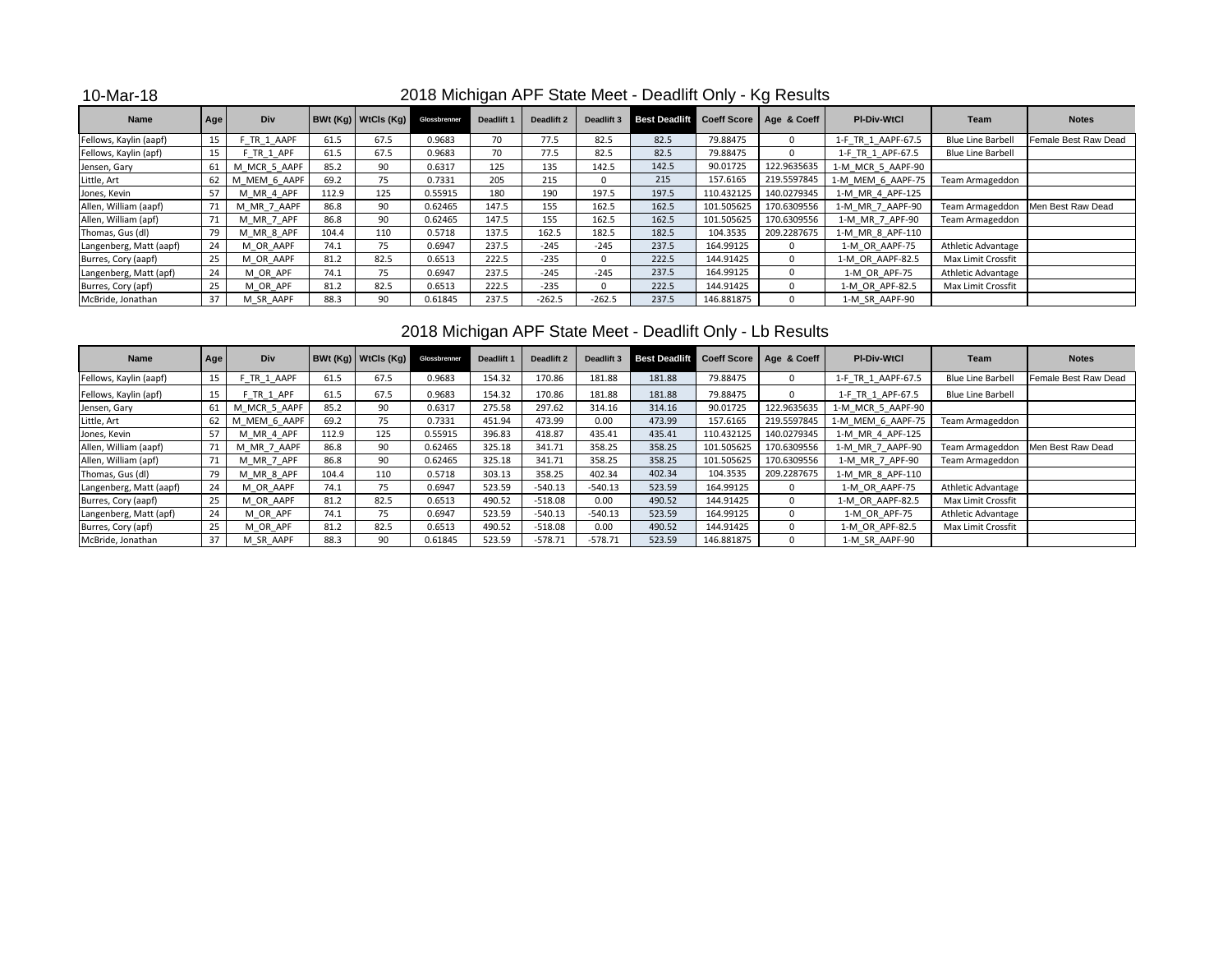10-Mar-18

## 2018 Michigan APF State Meet - Deadlift Only - Kg Results

| Name                    | Age | Div          |       | $BWt (Kq)$ WtCls $(Kq)$ | Glossbrenner | Deadlift 1 | Deadlift 2 | Deadlift 3 | <b>Best Deadlift Coeff Score   Age &amp; Coeff  </b> |            |             | <b>PI-Div-WtCl</b> | Team                     | <b>Notes</b>                      |
|-------------------------|-----|--------------|-------|-------------------------|--------------|------------|------------|------------|------------------------------------------------------|------------|-------------|--------------------|--------------------------|-----------------------------------|
| Fellows, Kaylin (aapf)  |     | F TR 1 AAPF  | 61.5  | 67.5                    | 0.9683       | 70         | 77.5       | 82.5       | 82.5                                                 | 79.88475   |             | 1-F TR 1 AAPF-67.5 | <b>Blue Line Barbell</b> | Female Best Raw Dead              |
| Fellows, Kaylin (apf)   |     | F TR 1 APF   | 61.5  | 67.5                    | 0.9683       | 70         | 77.5       | 82.5       | 82.5                                                 | 79.88475   |             | 1-F TR 1 APF-67.5  | <b>Blue Line Barbell</b> |                                   |
| Jensen, Gary            | 61  | M MCR 5 AAPF | 85.2  | 90                      | 0.6317       | 125        | 135        | 142.5      | 142.5                                                | 90.01725   | 122.9635635 | 1-M MCR 5 AAPF-90  |                          |                                   |
| Little, Art             | 62  | M MEM 6 AAPF | 69.2  | 75                      | 0.7331       | 205        | 215        |            | 215                                                  | 157.6165   | 219.5597845 | 1-M MEM 6 AAPF-75  | Team Armageddon          |                                   |
| Jones, Kevin            | 57  | M MR 4 APF   | 112.9 | 125                     | 0.55915      | 180        | 190        | 197.5      | 197.5                                                | 110.432125 | 140.0279345 | 1-M MR 4 APF-125   |                          |                                   |
| Allen, William (aapf)   |     | M MR 7 AAPF  | 86.8  | 90                      | 0.62465      | 147.5      | 155        | 162.5      | 162.5                                                | 101.505625 | 170.6309556 | 1-M MR 7 AAPF-90   |                          | Team Armageddon Men Best Raw Dead |
| Allen, William (apf)    |     | M MR 7 APF   | 86.8  | 90                      | 0.62465      | 147.5      | 155        | 162.5      | 162.5                                                | 101.505625 | 170.6309556 | 1-M MR 7 APF-90    | Team Armageddon          |                                   |
| Thomas, Gus (dl)        |     | M MR 8 APF   | 104.4 | 110                     | 0.5718       | 137.5      | 162.5      | 182.5      | 182.5                                                | 104.3535   | 209.2287675 | 1-M MR 8 APF-110   |                          |                                   |
| Langenberg, Matt (aapf) | 24  | M OR AAPF    | 74.1  | 75                      | 0.6947       | 237.5      | $-245$     | $-245$     | 237.5                                                | 164.99125  |             | 1-M OR AAPF-75     | Athletic Advantage       |                                   |
| Burres, Cory (aapf)     | 25  | M OR AAPF    | 81.2  | 82.5                    | 0.6513       | 222.5      | $-235$     |            | 222.5                                                | 144.91425  |             | 1-M OR AAPF-82.5   | Max Limit Crossfit       |                                   |
| Langenberg, Matt (apf)  | 24  | M OR APF     | 74.1  | 75                      | 0.6947       | 237.5      | $-245$     | $-245$     | 237.5                                                | 164.99125  |             | 1-M OR APF-75      | Athletic Advantage       |                                   |
| Burres, Cory (apf)      | 25  | M OR APF     | 81.2  | 82.5                    | 0.6513       | 222.5      | $-235$     |            | 222.5                                                | 144.91425  |             | 1-M OR APF-82.5    | Max Limit Crossfit       |                                   |
| McBride, Jonathan       | 37  | M SR AAPF    | 88.3  | 90                      | 0.61845      | 237.5      | $-262.5$   | $-262.5$   | 237.5                                                | 146.881875 |             | 1-M SR AAPF-90     |                          |                                   |

## 2018 Michigan APF State Meet - Deadlift Only - Lb Results

| <b>Name</b>             | Age | Div          |       | BWt (Kg)   WtCls (Kg)   Glossbrenner |         | Deadlift 1 | Deadlift 2 |           | Deadlift 3 Best Deadlift Coeff Score   Age & Coeff |            |              | <b>PI-Div-WtCl</b> | Team                     | <b>Notes</b>         |
|-------------------------|-----|--------------|-------|--------------------------------------|---------|------------|------------|-----------|----------------------------------------------------|------------|--------------|--------------------|--------------------------|----------------------|
| Fellows, Kaylin (aapf)  |     | F TR 1 AAPF  | 61.5  | 67.5                                 | 0.9683  | 154.32     | 170.86     | 181.88    | 181.88                                             | 79.88475   | 0            | 1-F TR 1 AAPF-67.5 | <b>Blue Line Barbell</b> | Female Best Raw Dead |
| Fellows, Kaylin (apf)   |     | F TR 1 APF   | 61.5  | 67.5                                 | 0.9683  | 154.32     | 170.86     | 181.88    | 181.88                                             | 79.88475   | $\mathbf{0}$ | 1-F TR 1 APF-67.5  | <b>Blue Line Barbell</b> |                      |
| Jensen, Gary            | 61  | M MCR 5 AAPF | 85.2  | 90                                   | 0.6317  | 275.58     | 297.62     | 314.16    | 314.16                                             | 90.01725   | 122.9635635  | 1-M MCR 5 AAPF-90  |                          |                      |
| Little, Art             | 62  | M MEM 6 AAPF | 69.2  | 75                                   | 0.7331  | 451.94     | 473.99     | 0.00      | 473.99                                             | 157.6165   | 219.5597845  | 1-M MEM 6 AAPF-75  | Team Armageddon          |                      |
| Jones, Kevin            | 57  | M MR 4 APF   | 112.9 | 125                                  | 0.55915 | 396.83     | 418.87     | 435.41    | 435.41                                             | 110.432125 | 140.0279345  | 1-M MR 4 APF-125   |                          |                      |
| Allen, William (aapf)   | 71  | M MR 7 AAPF  | 86.8  | 90                                   | 0.62465 | 325.18     | 341.71     | 358.25    | 358.25                                             | 101.505625 | 170.6309556  | 1-M MR 7 AAPF-90   | Team Armageddon          | Men Best Raw Dead    |
| Allen, William (apf)    |     | M MR 7 APF   | 86.8  | 90                                   | 0.62465 | 325.18     | 341.71     | 358.25    | 358.25                                             | 101.505625 | 170.6309556  | 1-M MR 7 APF-90    | Team Armageddon          |                      |
| Thomas, Gus (dl)        | 79  | M MR 8 APF   | 104.4 | 110                                  | 0.5718  | 303.13     | 358.25     | 402.34    | 402.34                                             | 104.3535   | 209.2287675  | 1-M MR 8 APF-110   |                          |                      |
| Langenberg, Matt (aapf) | 24  | M OR AAPF    | 74.1  | 75                                   | 0.6947  | 523.59     | $-540.13$  | $-540.13$ | 523.59                                             | 164.99125  | 0            | 1-M OR AAPF-75     | Athletic Advantage       |                      |
| Burres, Cory (aapf)     | 25  | M OR AAPF    | 81.2  | 82.5                                 | 0.6513  | 490.52     | $-518.08$  | 0.00      | 490.52                                             | 144.91425  | $\mathbf{0}$ | 1-M OR AAPF-82.5   | Max Limit Crossfit       |                      |
| Langenberg, Matt (apf)  | 24  | M OR APF     | 74.1  | 75                                   | 0.6947  | 523.59     | $-540.13$  | $-540.13$ | 523.59                                             | 164.99125  | $\mathbf{0}$ | 1-M OR APF-75      | Athletic Advantage       |                      |
| Burres, Cory (apf)      | 25  | M OR APF     | 81.2  | 82.5                                 | 0.6513  | 490.52     | $-518.08$  | 0.00      | 490.52                                             | 144.91425  | $\mathbf{0}$ | 1-M OR APF-82.5    | Max Limit Crossfit       |                      |
| McBride, Jonathan       | 37  | M SR AAPF    | 88.3  | 90                                   | 0.61845 | 523.59     | $-578.71$  | $-578.71$ | 523.59                                             | 146.881875 | $\mathbf{0}$ | 1-M SR AAPF-90     |                          |                      |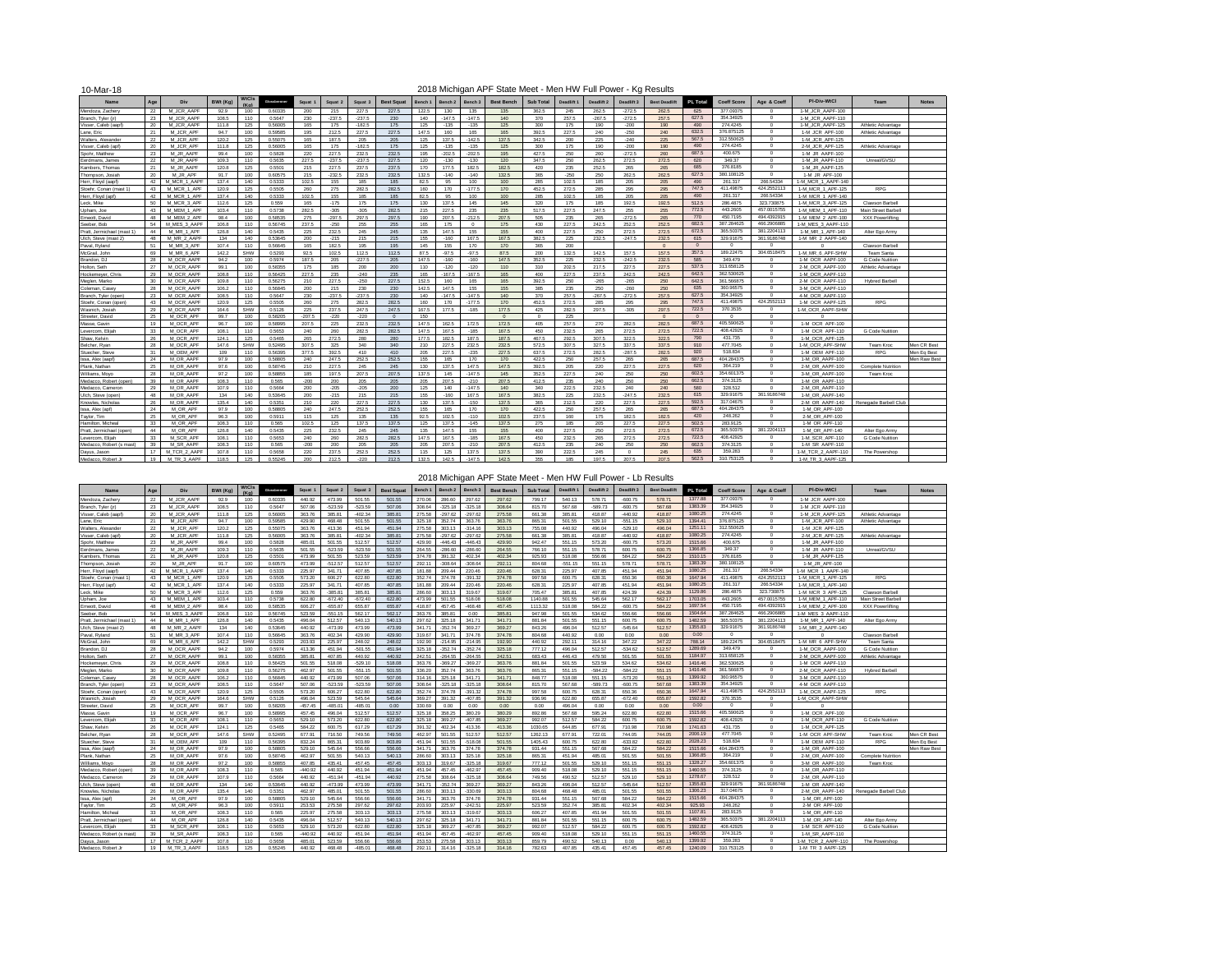| 10-Mar-18                  |     |              |          |       |             |          |                    |          |                   |         |                    |          | 2018 Michigan APF State Meet - Men HW Full Power - Kg Results |           |            |            |            |                      |          |                    |                |                    |                         |              |
|----------------------------|-----|--------------|----------|-------|-------------|----------|--------------------|----------|-------------------|---------|--------------------|----------|---------------------------------------------------------------|-----------|------------|------------|------------|----------------------|----------|--------------------|----------------|--------------------|-------------------------|--------------|
| <b>Name</b>                | Age | Div          | BWt (Kg) | WtCls | Glorateanse | Squat    | Souat <sub>2</sub> | Squat 3  | <b>Best Squat</b> | Bench 1 | Bench <sub>2</sub> | Bench 3  | <b>Best Bench</b>                                             | Sub Total | Deadlift 1 | Deadlift 2 | Deadlift 3 | <b>Best Deadlift</b> | PL Total | <b>Coeff Score</b> | Age & Coeff    | PI-Div-WtCl        | Team                    | <b>Notes</b> |
| Mendoza, Zachery           | 22  | M.ICR AAPE   | 92.9     | 100   | 0.60335     | 200      | 215                | 227.5    | 227.5             | 122.5   | 130                | 135      | 135                                                           | 362.5     | 245        | 262.5      | $-272.5$   | 262.5                | 625      | 377.09375          | $\Omega$       | 1-M JCR AAPF-100   |                         |              |
| Branch, Tvler (ir)         | 23  | M JCR AAPF   | 108.5    | 110   | 0.5647      | 230      | $-237.5$           | $-237.5$ | 230               | 140     | $-147.5$           | $-147.5$ | 140                                                           | 370       | 257.5      | $-267.5$   | $-272.5$   | 257.5                | 627.5    | 354.34925          | $\Omega$       | 1-M JCR AAPF-110   |                         |              |
| Visser, Caleb (aapf        | 20  | M JCR AAPF   | 111.8    | 125   | 0.56005     | 165      | 175                | $-182.5$ | 175               | 125     | $-135$             | $-135$   | 125                                                           | 300       | 175        | 190        | $-200$     | 190                  | 490      | 274.4245           | $\Omega$       | 1-M JCR AAPF-125   | Athletic Advantage      |              |
| Lane, Eric                 | 21  | M JCR APF    | 94.7     | 100   | 0.59585     | 195      | 212.5              | 227.5    | 227.5             | 147.5   | 160                | 165      | 165                                                           | 392.5     | 227.5      | 240        | $-250$     | 240                  | 632.5    | 376,875125         | $^{\circ}$     | 1-M JCR APF-100    | Athletic Advantage      |              |
| Walters, Alexander         | 22  | M JCR APF    | 120.2    | 125   | 0.55075     | 165      | 187.5              | 205      | 205               | 125     | 137.5              | $-142.5$ | 137.5                                                         | 342.5     | 200        | 225        | $-240$     | 225                  | 567.5    | 312.550625         | $^{\circ}$     | 1-M JCR APF-125    |                         |              |
| Visser, Caleb (apf)        | 20  | M.JCR APE    | 1118     | 125   | 0.56005     | 165      | 175                | $-1825$  | 175               | 125     | $-135$             | $-135$   | 125                                                           | 300       | 175        | 190        | $-200$     | 190                  | 490      | 274.4245           | $\overline{0}$ | 2-M JCR APF-125    | Athletic Advantage      |              |
| Spohr, Matthew             | 23  | M JR AAPF    | 99.4     | 100   | 0.5828      | 220      | 227.5              | 232.5    | 232.5             | 195     | $-202.5$           | $-2025$  | 195                                                           | 427.5     | 250        | 260        | $-272.5$   | 260                  | 687.5    | 400.675            | $\Omega$       | 1-M JR AAPF-100    |                         |              |
| Eerdmans, James            | 22  | M JR AAPF    | 109.3    | 110   | 0.5635      | 227.5    | $-237.5$           | $-237.5$ | 227.5             | 120     | $-130$             | $-130$   | 120                                                           | 347.5     | 250        | 262.5      | 272.5      | 272.5                | 620      | 349.37             | $\overline{0}$ | 1-M JR AAPF-110    | Unreal/GVSU             |              |
| Kambers, Thomas            | 21  | M JR AAPF    | 120.8    | 125   | 0.5501      | 215      | 227.5              | 237.5    | 237.5             | 170     | 177.5              | 182.5    | 182.5                                                         | 420       | 235        | 252.5      | 265        | 265                  | 685      | 376.8185           | $\Omega$       | 1-M JR AAPF-125    |                         |              |
| Thompson, Josiah           | 20  | M JR APF     | 91.7     | 100   | 0.60575     | 215      | $-232.5$           | 232.5    | 232.5             | 132.5   | $-140$             | $-140$   | 132.5                                                         | 365       | $-250$     | 250        | 262.5      | 262.5                | 627.5    | 380.108125         | $^{\circ}$     | 1-M JR APF-100     |                         |              |
| Herr, Floyd (aapf)         | 42  | M MCR 1 AAPF | 137.4    | 140   | 0.5333      | 102.5    | 155                | 185      | 185               | 82.5    | 95                 | 100      | 100                                                           | 285       | 102.5      | 185        | 205        | 205                  | 490      | 261.317            | 266.54334      | 1-M MCR 1 AAPF-140 |                         |              |
| Stoehr. Conan (mast 1)     | 43  | M MCR 1 APF  | 120.9    | 125   | 0.5505      | 260      | 275                | 282 5    | 282.5             | 160     | 170                | $-177.5$ | 170                                                           | 452.5     | 272.5      | 285        | 295        | 295                  | 747.5    | 411.49875          | 424.2552113    | 1-M MCR 1 APF-125  | <b>RPG</b>              |              |
| Herr. Floyd (apf)          | 42  | M MCR 1 APF  | 137.4    | 140   | 0.5333      | 102.5    | 155                | 185      | 185               | 82.5    | 95                 | 100      | 100                                                           | 285       | 102.5      | 185        | 205        | 205                  | 490      | 261.317            | 266.54334      | 1-M MCR 1 APF-140  |                         |              |
| Leck, Mike                 | 50  | M MCR 3 APF  | 112.6    | 125   | 0.559       | 165      | $-175$             | 175      | 175               | 130     | 137.5              | 145      | 145                                                           | 320       | 175        | 185        | 192.5      | 192.5                | 512.5    | 286,4875           | 323.730875     | 1-M MCR 3 APF-125  | Clawson Barbel          |              |
| Upham, Joe                 | 43  | M MFM 1 APF  | 103.4    | 110   | 0.5738      | 282.5    | $-305$             | $-306$   | 282 5             | 215     | 227.5              | 235      | 235                                                           | 517.5     | 227.5      | 247.5      | 255        | 255                  | 772.5    | 443,2605           | 457.0015755    | 1-M MEM 1 APF-110  | Main Street Barbel      |              |
| Emeott, David              | 48  | M MFM 2 APF  | 984      | 100   | 0.58535     | 275      | $-297.5$           | 297.5    | 297.5             | 190     | 207.5              | $-212.5$ | 207.5                                                         | 505       | 235        | 265        | $-272.5$   | 265                  | 770      | 450.7195           | 494.4392915    | 1-M MEM 2 APF-100  | <b>XXX Powerlifting</b> |              |
| Seeber, Bob                | 54  | M MES 3 AAPF | 106.8    | 110   | 0.56745     | 237.5    | $-250$             | 255      | 255               | 165     | 175                | $\Omega$ | 175                                                           | 430       | 227.5      | 242.5      | 252.5      | 252.5                | 682.5    | 387.284625         | 466.2906885    | 1-M MES 3 AAPF-110 |                         |              |
| Pratt. Jermichael (mast 1) | 44  | M MR 1 APF   | 126.8    | 140   | 0.5435      | 225      | 232.5              | 245      | 245               | 135     | 147.5              | 155      | 155                                                           | 400       | 227.5      | 250        | 272.5      | 272.5                | 672.5    | 365,50375          | 381.2204113    | 1-M MR 1 APF-140   | Alter Ego Army          |              |
| Ulch, Steve (mast 2)       | 48  | M MR 2 AAPF  | 134      | 140   | 0.53645     | 200      | $-215$             | 215      | 215               | 155     | $-160$             | 167.5    | 167.5                                                         | 382.5     | 225        | 232.5      | $-247.5$   | 232.5                | 615      | 329.91675          | 361.9186748    | 1-M MR 2 AAPF-140  |                         |              |
| Paval, Ryland              | 51  | M MR 3 APF   | 107.4    | 110   | 0.56645     | 165      | 182.5              | 195      | 195               | 145     | 155                | 170      | 170                                                           | 365       | 200        |            |            | $\Omega$             | $\Omega$ | $\Omega$           | $\Omega$       | n                  | Clawson Barbel          |              |
| McGrail, John              | 69  | M MR 6 APF   | 142.2    | SHW   | 0.5293      | 92.5     | 102.5              | 112.5    | 112.5             | 87.5    | $-97.5$            | $-97.5$  | 87.5                                                          | 200       | 132.5      | 142.5      | 157.5      | 157.5                | 357.5    | 189.22475          | 304.651847     | 1-M MR 6 APF-SHW   | Team Santa              |              |
| Brandon, DJ                | 28  | M OCR AAPF   | 94.2     | 100   | 0.5974      | 187.5    | 205                | $-227.5$ | 205               | 147.5   | $-160$             | $-160$   | 147.5                                                         | 352.5     | 225        | 232.5      | $-242.5$   | 232.5                | 585      | 349,479            | $\Omega$       | 1-M OCR AAPF-100   | G Code Nutition         |              |
| Holton, Seth               | 27  | M OCR AAPF   | 99.1     | 100   | 0.58355     | 175      | 185                | 200      | 200               | 110     | $-120$             | $-120$   | 110                                                           | 310       | 202.5      | 217.5      | 227.5      | 227.5                | 537.5    | 313.658125         | $\Omega$       | 2-M OCR AAPF-100   | Athletic Advantage      |              |
| Hockemever, Chris          | 29  | M OCR AAPE   | 108.8    | 110   | 0.56425     | 227.5    | 235                | $-240$   | 235               | 165     | $-167.5$           | $-167.5$ | 165                                                           | 400       | 227.5      | 237.5      | 242.5      | 242.5                | 642.5    | 362.530625         | $^{\circ}$     | 1-M OCR AAPF-110   |                         |              |
| Meglen, Marko              | 30  | M OCR AAPE   | 109.8    | 110   | 0.56275     | 210      | 227.5              | $-250$   | 227.5             | 152.5   | 160                | 165      | 165                                                           | 392.5     | 250        | $-265$     | $-265$     | 250                  | 642.5    | 361.566875         | $^{\circ}$     | 2-M OCR AAPF-110   | <b>Hybred Barbell</b>   |              |
| Coleman, Casey             | 28  | M OCR AAPF   | 106.2    | 110   | 0.56845     | 200      | 215                | 230      | 230               | 142.5   | 147.5              | 155      | 155                                                           | 385       | 235        | 250        | $-260$     | 250                  | 635      | 360.96575          | $\Omega$       | 3-M OCR AAPF-110   |                         |              |
| Branch, Tyler (open)       | 23  | M OCR AAPF   | 108.5    | 110   | 0.5647      | 230      | $-237.5$           | $-237.5$ | 230               | 140     | $-147.5$           | $-147.5$ | 140                                                           | 370       | 257.5      | $-267.5$   | $-272.5$   | 257.5                | 627.5    | 354.34925          | $\Omega$       | 4-M OCR AAPF-110   |                         |              |
| Stoehr, Conan (open        | 43  | M OCR AAPF   | 120.9    | 125   | 0.5505      | 260      | 275                | 282.5    | 282.5             | 160     | 170                | $-177.5$ | 170                                                           | 452.5     | 272.5      | 285        | 295        | 295                  | 747.5    | 411.49875          | 424.2552113    | 1-M OCR AAPF-125   | <b>RPG</b>              |              |
| Wasnich, Josiah            | 29  | M OCR AAPF   | 164.6    | SHW   | 0.5126      | 225      | 237.5              | 247.5    | 247.5             | 167.5   | 177.5              | $-185$   | 177.5                                                         | 425       | 282.5      | 297.5      | $-306$     | 297.5                | 722.5    | 370.3535           | $^{\circ}$     | 1-M OCR AAPF-SHW   |                         |              |
| Streeter, David            | 25  | M OCR APE    | 99.7     | 100   | 0.58205     | $-207.5$ | $-220$             | $-220$   | $\Omega$          | 150     |                    |          | $\Omega$                                                      | $\sim$    | 225        |            |            | $\Omega$             | $\Omega$ | $\sqrt{2}$         | $\Omega$       |                    |                         |              |
| Masse, Gavin               | 19  | M OCR APE    | 96.7     | 100   | 0.58995     | 207.5    | 225                | 232.5    | 232.5             | 147.5   | 162.5              | 172.5    | 172.5                                                         | 405       | 257.5      | 270        | 282.5      | 282.5                | 687.5    | 405.590625         | $\Omega$       | 1-M OCR APF-100    |                         |              |
| Levercom, Elliah           | 33  | M OCR APF    | 108.1    | 110   | 0.5653      | 240      | 260                | 282.5    | 282.5             | 147.5   | 167.5              | $-185$   | 167.5                                                         | 450       | 232.5      | 265        | 272.5      | 272.5                | 722.5    | 408.42925          | $\overline{0}$ | 1-M OCR APF-110    | G Code Nutition         |              |
| Shaw, Kelvin               | 26  | M OCR APE    | 124.1    | 125   | 0.5465      | 265      | 272.5              | 280      | 280               | 177.5   | 182.5              | 187.5    | 187.5                                                         | 467.5     | 292.5      | 307.5      | 322.5      | 322.5                | 790      | 431.735            | $^{\circ}$     | 1-M OCR APF-125    |                         |              |
| Belcher, Rvan              | 2R  | M OCR APE    | 1476     | SHW   | 0.52495     | 307.5    | 325                | 340      | 340               | 210     | 227.5              | 232.5    | 232.5                                                         | 572.5     | 307.5      | 327.5      | 337.5      | 337.5                | 910      | 477.7045           | $^{\circ}$     | 1-M OCR APF-SHW    | Team Kroc               | Men CR Rest  |
| Stuecher, Steve            | 31  | M OEM APF    | 109      | 110   | 0.56395     | 377.5    | 392.5              | 410      | 410               | 205     | 227.5              | $-235$   | 227.5                                                         | 637.5     | 272.5      | 282.5      | $-287.5$   | 282.5                | 920      | 518,834            | $^{\circ}$     | 1-M OEM APF-110    | <b>RPG</b>              | Men Eg Best  |
| Issa, Alex (aap)           | 24  | M OR AAPF    | 979      | 100   | 0.58805     | 240      | 247.5              | 252.5    | 252.5             | 155     | 165                | 170      | 170                                                           | 422.5     | 250        | 257.5      | 265        | 265                  | 687.5    | 404.284375         | $\Omega$       | 1-M OR AAPF-100    |                         | Men Raw Best |
| Plank, Nathan              | 25  | M OR AAPE    | 97.6     | 100   | 0.58745     | 210      | 227.5              | 245      | 245               | 130     | 137.5              | 147.5    | 147.5                                                         | 392.5     | 205        | 220        | 227.5      | 227.5                | 620      | 364.219            | $^{\circ}$     | 2-M OR AAPF-100    | Complete Nutrition      |              |
| Williams, Movo             | 28  | M OR AAPE    | 972      | 100   | 0.58855     | 185      | 197.5              | 207.5    | 207.5             | 137.5   | 145                | $-1475$  | 145                                                           | 352.5     | 227.5      | 240        | 250        | 250                  | 602.5    | 354.601375         | $^{\circ}$     | 3-M OR AAPF-100    | Team Kroc               |              |
| Medacco, Robert (open)     | 39  | M OR AAPF    | 108.3    | 110   | 0.565       | $-200$   | 200                | 205      | 205               | 205     | 207.5              | $-210$   | 207.5                                                         | 412.5     | 235        | 240        | 250        | 250                  | 662.5    | 374 3125           | $\Omega$       | 1-M OR AAPF-110    |                         |              |
| Medacco, Cameron           | 29  | M OR AAPE    | 107.9    | 110   | 0.5664      | 200      | $-205$             | $-205$   | 200               | 125     | 140                | $-1475$  | 140                                                           | 340       | 222.5      | 232.5      | 240        | 240                  | 580      | 328,512            | $\overline{0}$ | 2-M OR AAPF-110    |                         |              |
| Ulch, Steve (open)         | 48  | M OR AAPF    | 134      | 140   | 0.53645     | 200      | $-215$             | 215      | 215               | 155     | $-160$             | 167.5    | 167.5                                                         | 382.5     | 225        | 232.5      | $-247.5$   | 232.5                | 615      | 329.91675          | 361.9186748    | 1-M OR AAPF-140    |                         |              |
| Knowles, Nicholas          | 26  | M OR AAPF    | 135.4    | 140   | 0.5351      | 210      | 220                | 227.5    | 227.5             | 130     | 137.5              | $-150$   | 137.5                                                         | 365       | 212.5      | 220        | 227.5      | 227.5                | 592.5    | 317,04675          | $^{\circ}$     | 2-M OR AAPF-140    | Renegade Barbell Club   |              |
| Issa, Alex (apf)           | 24  | M OR APF     | 979      | 100   | 0.58805     | 240      | 247.5              | 252.5    | 252.5             | 155     | 165                | 170      | 170                                                           | 422.5     | 250        | 257.5      | 265        | 265                  | 687.5    | 404.284375         | $\Omega$       | 1-M OR APF-100     |                         |              |
| Taylor, Tim                | 25  | M OR APE     | 96.3     | 100   | 0.5911      | 115      | 125                | 135      | 135               | 92.5    | 102.5              | $-110$   | 102.5                                                         | 237.5     | 160        | 175        | 182.5      | 182.5                | 420      | 248,262            | $\Omega$       | 2-M OR APF-100     |                         |              |
| Hamilton, Micheal          | 33  | M OR APF     | 108.3    | 110   | 0.565       | 102.5    | 125                | 137.5    | 137.5             | 125     | 137.5              | $-145$   | 137.5                                                         | 275       | 185        | 205        | 227.5      | 227.5                | 502.5    | 283.9125           | $\Omega$       | 1-M OR APF-110     |                         |              |
| Pratt, Jermichael (open    | 44  | M OR APF     | 126.8    | 140   | 0.5435      | 225      | 232.5              | 245      | 245               | 135     | 147.5              | 155      | 155                                                           | 400       | 227.5      | 250        | 272.5      | 272.5                | 672.5    | 365.50375          | 381.2204113    | 1-M OR APF-140     | Alter Ego Army          |              |
| Levercom, Elijah           | 33  | M SCR APF    | 108.1    | 110   | 0.5653      | 240      | 260                | 282.5    | 282.5             | 147.5   | 167.5              | $-185$   | 167.5                                                         | 450       | 232.5      | 265        | 272.5      | 272.5                | 722.5    | 408.42925          | $\Omega$       | 1-M SCR APF-110    | G Code Nutition         |              |
| Medacco, Robert (s mast)   | 39  | M SR AAPF    | 108.3    | 110   | 0.565       | $-200$   | 200                | 205      | 205               | 205     | 207.5              | $-210$   | 207.5                                                         | 412.5     | 235        | 240        | 250        | 250                  | 662.5    | 374.3125           | $\Omega$       | 1-M SR AAPF-110    |                         |              |
| Dayus, Jason               | 17  | M TCR 2 AAPI | 107.8    | 110   | 0.5658      | 220      | 237.5              | 252.5    | 252.5             | 115     | 125                | 137.5    | 137.5                                                         | 390       | 222.5      | 245        | $\Omega$   | 245                  | 635      | 359,283            | $\Omega$       | 1-M TCR 2 AAPF-110 | The Powershop           |              |
| Medacco, Robert Jr.        | 19  | M TR 3 AAPF  | 118.5    | 125   | 0.55245     | 200      | 212.5              | $-220$   | 212.5             | 132.5   | 142.5              | $-1475$  | 142.5                                                         | 355       | 185        | 197.5      | 207.5      | 207.5                | 562.5    | 310.753125         | $^{\circ}$     | 1-M TR 3 AAPF-125  |                         |              |

2018 Michigan APF State Meet - Men HW Full Power - Lb Results

| Name                                         | Age                  | Div                    | <b>BWt (Kg)</b> | WtCls      | Glorateanse       | Squat            | Squat <sub>2</sub>     | Squat <sub>3</sub>  | <b>Best Squat</b> | <b>Rench</b>     | Bench <sub>2</sub> | Rench <sub>2</sub>  | <b>Best Bench</b> | <b>Sub Total</b> | <b>Deadlift</b>  | Deadlift 2       | Deadlift 3         | <b>Best Deadlif</b> | PL Total           | <b>Coeff Score</b>      | Age & Coeff          | PI-Div-WtCl                        | Team                              | <b>Notes</b> |
|----------------------------------------------|----------------------|------------------------|-----------------|------------|-------------------|------------------|------------------------|---------------------|-------------------|------------------|--------------------|---------------------|-------------------|------------------|------------------|------------------|--------------------|---------------------|--------------------|-------------------------|----------------------|------------------------------------|-----------------------------------|--------------|
| Mendoza, Zachery                             | 22                   | M JCR AAPF             | 92.9            | 100        | 0.60335           | 440.92           | 473.99                 | 501.55              | 501.55            | 270.06           | 286.60             | 297.62              | 297.62            | 799.17           | 540.13           | 578.71           | $-600.75$          | 578.71              | 1377.88            | 377 09375               | $\Omega$             | 1-M JCR AAPF-100                   |                                   |              |
| Branch, Tvler (in                            | 23                   | M JCR AAPR             | 108.5           | 110        | 0.5647            | 507.06           | $-523.59$              | $-523.59$           | 507.06            | 308.64           | $-325.18$          | $-325.18$           | 308.64            | 815.70           | 567.68           | $-589.73$        | $-600.75$          | 567.68              | 1383.39            | 354.34925               | $\Omega$             | 1-M JCR AAPF-110                   |                                   |              |
| Visser, Caleb (aapf)                         | 20                   | M JCR AAPF             | 111.8           | 125        | 0.56005           | 363.76           | 385.81                 | $-402.34$           | 385.81            | 275.58           | $-297.62$          | $-297.62$           | 275.58            | 661.38           | 385.81           | 418.87           | $-440.92$          | 418.87              | 1080.25            | 274.4245                | $\Omega$             | 1-M JCR AAPF-125                   | Athletic Advantage                |              |
| Lane, Eric                                   | 21                   | M JCR APF              | 94.7            | 100        | 0.59585           | 429.90           | 468.48                 | 501.55              | 501.55            | 325.18           | 352.74             | 363.76              | 363.76            | 865.31           | 501.55           | 529.10           | $-551.15$          | 529.10              | 1394.41            | 376,875125              | $\Omega$             | 1-M JCR APF-100                    | Athletic Advantage                |              |
| Walters, Alexander                           | 22                   | M JCR APF              | 120.2           | 125        | 0.55075           | 363.76           | 413.36                 | 451.94              | 451.94            | 275.58           | 303.13             | $-314.16$           | 303.13            | 755.08           | 440.92           | 496.04           | $-529.10$          | 496.04              | 1251.11            | 312.550625              | - 0                  | 1-M JCR APF-125                    |                                   |              |
| Visser, Caleb (apf)                          | 20                   | M JCR APF              | 111.8           | 125        | 0.56005           | 363.76           | 385.81                 | $-402.34$           | 385.81            | 275.58           | $-297.62$          | $-297.62$           | 275.58            | 661.38           | 385.81           | 418.87           | $-440.92$          | 418.87              | 1080.25            | 274.4245                | $\sqrt{2}$           | 2-M JCR APF-125                    | Athletic Advantage                |              |
| Spohr, Matthew                               | 23                   | M .IR AAPF             | 99.4            | 100        | 0.5828            | 485.01           | 501 55                 | 512.57              | 512.57            | 429.90           | $-446.43$          | $-446.43$           | 429.90            | 942.47           | 551 15           | 573.20           | $-600.75$          | 573.20              | 1515.66            | 400.675                 | $\Omega$             | 1-M JR AAPF-100                    |                                   |              |
| Eerdmans, James                              | 22                   | M JR AAPF              | 109.3           | 110        | 0.5635            | 501.55           | -523.59                | $-523.59$           | 501.55            | 264.55           | $-286.60$          | -286 $60$           | 264.55            | 766 10           | 551 15           | 578.71           | 600.75             | 600.75              | 1366.85            | 349.37                  | $\Omega$             | 1-M .IR AAPF-110                   | Unreal/GVSU                       |              |
| Kambers, Thomas                              | 21                   | M JR AAPF              | 120.8           | 125        | 0.5501            | 473.99           | 501.55                 | 523.59              | 523.59            | 374.78           | 391.32             | 402.34              | 402.34            | 925.93           | 518.08           | 556.66           | 584.22             | 584.22              | 1510.15            | 376,8185                | $\Omega$             | 1-M JR AAPF-125                    |                                   |              |
| Thompson, Josiah                             | 20                   | M JR APF               | 91.7            | 100        | 0.60575           | 473.99           | $-512.57$              | 512.57              | 512.57            | 292.1            | $-308.64$          | $-308.64$           | 292.11            | 804.68           | $-551.15$        | 551.15           | 578.71             | 578.71              | 1383.39            | 380.108125              | $\Omega$             | 1-M JR APF-100                     |                                   |              |
| Herr, Floyd (aapf)                           | 42                   | M MCR 1 AAPF           | 137.4           | 140        | 0.5333            | 225.97           | 341.71                 | 407.85              | 407.85            | 181.88           | 209.44             | 220.46              | 220.46            | 628.31           | 225.97           | 407.85           | 451.94             | 451.94              | 1080.25            | 261.317                 | 266.54334            | 1-M MCR 1 AAPF-140                 |                                   |              |
| Stoehr, Conan (mast 1)                       | 43                   | M MCR 1 APF            | 120.9           | 125        | 0.5505            | 573.20           | 606.27                 | 622.80              | 622.80            | 352.74           | 374.78             | $-391.32$           | 374.78            | 997.58           | 600.75           | 628.31           | 650.36             | 650.36              | 1647.94            | 411.49875               | 424.2552113          | 1-M MCR 1 APF-125                  | <b>RPG</b>                        |              |
| Herr, Floyd (ap                              | 42                   | M MCR 1 APF            | 1374            | 140        | 0.5333            | 225.97           | 341 71                 | 407 85              | 40785             | 18188            | 209.44             | 220 46              | 220.46            | 628.31           | 225.97           | 407.85           | 451 94             | 451.94              | 1080.25            | 261.317                 | 266.54334            | 1-M MCR 1 APF-140                  |                                   |              |
| Leck, Mike                                   | 50                   | M MCR 3 APF            | 112.6           | 125        | 0.559             | 363.76           | $-385.81$              | 385.81              | 385.81            | 286.60           | 303.13             | 319.67              | 319.67            | 705.47           | 385.81           | 407.85           | 424.39             | 424.39              | 1129.86            | 286,4875                | 323,730875           | 1-M MCR 3 APF-125                  | Clawson Barbell                   |              |
| Upham, Joe                                   | 43                   | M MFM 1 APF            | 103.4           | 110        | 0.5738            | 622.80           | $-672.40$              | $-672.40$           | 622.80            | 473.99           | 501.55             | 518.08              | 518.08            | 1140.88          | 501.55           | 545.64           | 562.17             | 562.17              | 1703.05            | 443,2605                | 457.0015755          | 1-M MFM 1 APF-110                  | Main Street Barbell               |              |
| Emeott, David                                | 48                   | M MEM 2 APF            | 984             | 100        | 0.58535           | 606.27           | $-655.87$              | 655.87              | 655.87            | 418.87           | 457.45             | $-468.48$           | 457.45            | 1113.32          | 518.08           | 584.22           | $-600.75$          | 584.22              | 1697.54            | 450 7195                | 494.4392915          | 1-M MEM 2 APF-100                  | XXX Powerlifting                  |              |
| Seeber, Bob                                  | 54                   | M MES 3 AAPI           | 106.8           | 110        | 0.56745           | 523.59           | $-551.15$              | 562.17              | 562.17            | 363.76           | 385.81             | 0.00                | 385.81            | 947.98           | 501.55           | 534.62           | 556.66             | 556.66              | 1504.64            | 387.284629              | 466,2906885          | 1-M MES 3 AAPF-110                 |                                   |              |
| Pratt, Jermichael (mast 1)                   | 44                   | M MR 1 APF             | 126.8           | 140        | 0.5435            | 496.04           | 512.57                 | 540.13              | 540.13            | 297.62           | 325.18             | 341.71              | 341.71            | 881.84           | 501.55           | 551.15           | 600.75             | 600.75              | 1482.59            | 365,50375               | 381.2204113          | 1-M MR 1 APF-140                   | Alter Ego Army                    |              |
| Ulch, Steve (mast 2)                         | 4 <sub>R</sub>       | M MR 2 AAPF            | 134             | 140        | 0.53645           | 440.92           | $-473.99$              | 473.99              | 473.99            | 3417             | $-352.74$          | 369.27              | 369.27            | 843.26           | 496.04           | 512.57           | $-54564$           | 512.57              | 1355.83            | 329.91675               | 361.9186748          | 1-M MR 2 AAPF-140                  |                                   |              |
| Payal, Ryland                                | 51                   | M MR 3 APF             | 107.4           | 110        | 0.56645           | 363.76           | 402.34                 | 429.90              | 429.90            | 319.67           | 341.7              | 374.78              | 374.78            | 804.68           | 440.92           | 0.00             | 0.00               | 0.00                | 0.00               | $\Omega$                | $\Omega$             |                                    | Clawson Barbell                   |              |
| McGrail, John                                | 69                   | M MR 6 APF             | 142.2           | SHW        | 0.5293            | 203.93           | 225.97                 | 248.02              | 248.02            | 192.90           | $-214.95$          | $-214.95$           | 192.90            | 440.92           | 292.11           | 314.16           | 347.22             | 347.22              | 788.14             | 189.22475               | 304.6518475          | 1-M MR 6 APF-SHW                   | Team Santa                        |              |
| Brandon, DJ                                  | 28                   | M OCR AAPF             | 94.2            | 100        | 0.5974            | 413.36           | 451.94                 | $-501.55$           | 451.94            | 325.18           | $-352.74$          | $-352.74$           | 325.18            | 777.12           | 496.04           | 512.57           | $-534.62$          | 512.57              | 1289.69            | 349.479                 | $\Omega$             | 1-M OCR AAPF-100                   | G Code Nutition                   |              |
| Holton, Seth                                 | 27                   | M OCR AAPE             | 99.1            | 100        | 0.58355           | 385.81           | 40785                  | 440.92              | 440.92            | 242.51           | $-264.55$          | $-264.55$           | 242.51            | 683.43           | 446.43           | 479.50           | 501.55             | 501.55              | 1184.97            | 313.658125              | $\Omega$             | 2-M OCR AAPE-100                   | Athletic Advantage                |              |
| Hockemever, Chris                            | 29                   | M OCR AAPF             | 108.8           | 110        | 0.56425           | 501.55           | 518.08                 | $-529.10$           | 518.08            | 363.76           | $-369.27$          | $-369.27$           | 363.76            | 881.84           | 501.55           | 523.59           | 534.62             | 534.62              | 1416.46            | 362.530625              | $\Omega$             | 1-M OCR AAPF-110                   |                                   |              |
| Meglen, Marko                                | 30                   | M OCR AAPF             | 109.8           | 110        | 0.56275           | 462.97           | 501.55                 | $-551.15$           | 501.55            | 336.20           | 352.74             | 363.76              | 363.76            | 865.31           | 551.15           | $-584.22$        | $-584.22$          | 551.15              | 1416.46            | 361.566875              | $\Omega$             | 2-M OCR AAPF-110                   | <b>Hybred Barbell</b>             |              |
| Coleman, Case                                | 28                   | M OCR AAPF             | 106.2           | 110        | 0.56845           | 440.92           | 473.99                 | 507.06              | 507.06            | 314.16           | 325.18             | 341.71              | 341.71            | 848.77           | 518.08           | 551.15           | $-573.20$          | 551.15              | 1399.92            | 360.96575               | $\Omega$             | 3-M OCR AAPF-110                   |                                   |              |
| Branch, Tyler (open)                         | 23                   | M OCR AAPF             | 108.5           | 110        | 0.5647            | 507.06           | $-523.59$              | $-523.59$           | 507.06            | 308.64           | $-325.18$          | $-325.18$           | 308.64            | 815.70           | 567.68           | $-589.73$        | $-600.75$          | 567.68              | 1383.39            | 354.34925               | $\Omega$             | 4-M OCR AAPF-110                   |                                   |              |
| Stoehr, Conan (oper                          | 43                   | M OCR AAPF             | 120.9           | 125        | 0.5505            | 573.20           | 606.27                 | 622.80              | 622.80            | 352.74           | 374.78             | $-391.32$           | 374.78            | 997.58           | 600.75           | 628.31           | 650.36             | 650.36              | 1647.94            | 411.49875               | 424.2552113          | 1-M OCR AAPF-125                   | <b>RPG</b>                        |              |
| Wasnich, Josial                              | 29                   | M OCR AAPE             | 164.6           | <b>SHW</b> | 0.5126            | 496.04           | 523.59                 | 545.64              | 545.64            | 369.27           | 391.32             | $-407.85$           | 391.32            | 936.96           | 622 BO           | 655 87           | 672.40             | 655.87              | 1592.82            | 370.3535                | $\Omega$             | 1-M OCR AAPE-SHW                   |                                   |              |
| Streeter, David                              | 25                   | M OCR APP              | 99.7            | 100        | 0.58205           | $-457.45$        | $-485.01$              | $-485.01$           | 0.00              | 330.69           | 0.00               | 0.00                | 0.00              | 0.00             | 496.04           | 0.00             | 0.00               | 0.00                | 0.00               | $\Omega$<br>405 590625  | $\Omega$             |                                    |                                   |              |
| Masse, Gavin                                 | 19                   | M OCR APP              | 96.7            | 100        | 0.58995           | 457.45           | 496.04                 | 512.57              | 512.57            | 325.18           | 358.25             | 380.29              | 380.29            | 892.86           | 567.68           | 595.24           | 622.80             | 622.80              | 1515.66            |                         | $\Omega$             | 1-M OCR APF-100                    |                                   |              |
| Levercom, Elliah                             | 33                   | M OCR APF              | 108.1           | 110        | 0.5653            | 529.10           | 573.20                 | 622.80              | 622.80            | 325.18           | 369.27             | $-407.85$           | 369.27            | 992.07           | 512.57           | 584.22           | 600.75             | 600.75              | 1592.82            | 408.42925               | $^{\circ}$           | 1-M OCR APF-110                    | G Code Nutition                   |              |
| Shaw, Kelvin                                 | 26                   | M OCR APE              | 124.1           | 125        | 0.5465            | 584.22           | 600.75                 | 617.29              | 617.29            | 391.32           | 402.34             | 413.36              | 413.36            | 1030.65          | 644.85           | 677.91           | 710.98             | 710.98              | 1741.63            | 431.735                 | $\Omega$             | 1-M OCR APF-125                    |                                   |              |
| Belcher, Ryan                                | 28                   | M OCR APF              | 1476            | SHW        | 0.52495           | 677.91           | 716.50                 | 749.56              | 749.56            | 462.97           | 501.55             | 512.57              | 512.57            | 1262.13          | 677.91           | 722.01           | 744.05             | 744.05              | 2006.19            | 477.7045                | $\Omega$             | 1-M OCR APF-SHW                    | Team Kroc                         | Men CR Best  |
| Stuecher, Steve                              | 31                   | M OFM APR              | 109             | 110        | 0.56395           | 832.24           | 865.31                 | 903.89              | 903.89            | 451.94           | 501.55             | $-518.08$           | 501.55            | 1405.43          | 600.75           | 622.80           | $-633.82$          | 622.80              | 2028.23            | 518,834                 | $\Omega$             | 1-M OFM APF-110                    | <b>RPG</b>                        | Men Eg Best  |
| Issa, Alex (aapf)                            | 24                   | M OR AAPR              | 97.9            | 100        | 0.58805           | 529.10           | 545.64                 | 556.66              | 556.66            | 341.71           | 363.76             | 374.78              | 374.78            | 931.44           | 551.15           | 567.68           | 584.22             | 584.22              | 1515.66            | 404.284375              | $\sqrt{2}$           | 1-M OR AAPF-100                    |                                   | Men Raw Best |
| Plank, Nathan                                | 25                   | M OR AAPE              | 976             | 100        | 0.58745           | 462.97           | 501 55                 | 540 13              | 540 13            | 286.60           | 303.13             | 325 18              | 325.18            | 865.31           | 451 94           | 485 01           | 501.55             | 501.55              | 1366.85            | 364.219                 | $\Omega$             | 2-M OR AAPF-100                    | Complete Nutrition                |              |
| Williams, Movo                               | 2R                   | M OR AAPR              | 97.2            | 100        | 0.58855           | 407.85           | 435.41                 | 457 45              | 457.45            | 303 13           | 319.67             | $-325.18$           | 319.67            | 777 12           | 501.55           | 529 10           | 551 15             | 551 15              | 1328.27            | 354,601375              | $\Omega$<br>$\Omega$ | 3-M OR AAPF-100                    | Team Kroc                         |              |
| Medacco, Robert (open)                       | 39                   | M OR AAPR              | 108.3           | 110        | 0.565             | $-440.92$        | 440.92                 | 451 94              | 451.94            | 451.94           | 457.45             | $-462.97$           | 457.45            | 909.40           | 518.08           | 529.10           | 551.15             | 551.15              | 1460.55<br>1278.67 | 374.3125<br>328.512     | $\Omega$             | 1-M OR AAPF-110                    |                                   |              |
| Medacco, Cameror                             | 29<br>4 <sub>R</sub> | M OR AAPR<br>M OR AAPE | 107.9<br>134    | 110        | 0.5664<br>0.53645 | 440.92<br>440.92 | $-451.94$<br>$-473.99$ | $-451.94$<br>473.99 | 440.92<br>473.99  | 275.58<br>34171  | 308.64             | $-325.18$<br>369.27 | 308.64<br>369.27  | 749.56<br>843.26 | 490.52<br>496.04 | 512.57           | 529.10<br>$-54564$ | 529.10<br>512.57    | 1355.83            | 329.91675               | 361.9186748          | 2-M OR AAPF-110<br>1-M OR AAPF-140 |                                   |              |
| Ulch, Steve (open)                           |                      |                        |                 | 140        |                   |                  |                        |                     |                   |                  | $-352.74$          |                     |                   |                  |                  | 512.57           |                    |                     |                    |                         |                      |                                    |                                   |              |
| Knowles, Nicholas                            | 26                   | M OR AAPF              | 135.4           | 140        | 0.5351            | 462.97           | 485.01                 | 501.55              | 501.55            | 286.60           | 303.13             | $-330.69$           | 303.13            | 804.68           | 468.48           | 485.01           | 501.55             | 501.55              | 1306.23<br>1515.66 | 317.04675<br>404.284375 | $\Omega$<br>$\Omega$ | 2-M OR AAPF-140                    | Renegade Barbell Club             |              |
| Issa, Alex (apf)                             | 24                   | M OR APE               | 97.9<br>96.3    | 100        | 0.58805           | 529.10           | 545.64<br>275.58       | 556.66<br>297.62    | 556.66<br>297.62  | 341.71<br>203.93 | 363.76             | 374 78<br>$-242.51$ | 374 78<br>225.97  | 931 44           | 551.15<br>352.74 | 567.68           | 584.22<br>402.34   | 584.22<br>402.34    | 925.93             | 248,262                 | $\Omega$             | 1-M OR APF-100                     |                                   |              |
| Taylor, Tim                                  | 25<br>33             | M OR APF<br>M OR APF   | 108.3           | 100        | 0.5911<br>0.565   | 253.53<br>225.97 | 275.58                 | 303.13              | 303.13            | 275.58           | 225.97<br>303.13   | $-319.67$           | 303.13            | 523.59<br>606.27 | 407.85           | 385.81<br>451.94 | 501.55             | 501.55              | 1107.81            | 283.9125                | - 0                  | 2-M OR APF-100<br>1-M OR APF-110   |                                   |              |
| Hamilton, Michea                             | 44                   | M OR APE               | 126.8           | 110<br>140 | 0.5435            | 496.04           | 512.57                 | 540.13              | 540 13            | 297.62           | 325 18             | 341 71              | 34171             | <b>88184</b>     | 501.55           | 551 15           | 600.75             | 600.75              | 1482.59            | 365,50375               | 381.2204113          | 1-M OR APF-140                     |                                   |              |
| Pratt, Jermichael (open)                     | 33                   | <b>M SCR APR</b>       | 108.1           | 110        | 0.5653            | 529.10           | 573.20                 | 622.80              | 622.80            | 325.18           | 369.27             | $-407.85$           | 369.27            | 992.07           | 512.57           | 584.22           | 600.75             | 600.75              | 1592.82            | 408.42925               | $\Omega$             | 1-M SCR APF-110                    | Alter Ego Army<br>G Code Nutition |              |
| Levercom, Elliah<br>Medacco, Robert (s mast) | 39                   | M SR AAPF              | 108.3           | 110        | 0.565             | $-440.92$        | 440.92                 | 451.94              | 451.94            | 451.94           | 457.45             | $-462.97$           | 457.45            | 909.40           | 518.08           | 529.10           | 551.15             | 551.15              | 1460.55            | 374.3125                | $\Omega$             | 1-M SR AAPF-110                    |                                   |              |
|                                              | 17                   | M TCR 2 AAPE           | 107.8           | 110        | 0.5658            | 485.0°           | 523.59                 | 556.66              | 556.66            | 253.53           | 275.58             | 303 13              | 303.13            | 859.79           | 490.52           | 540.13           | 0.00               | 540.13              | 1399.92            | 359,283                 | $\Omega$             | 1-M TCR 2 AAPE-110                 |                                   |              |
| Dayus, Jason<br>Medacco, Robert J            | 19                   | M TR 3 AAPE            | 118.5           | 125        | 0.55245           | 440.92           | 468.48                 | $-485.01$           | 468.48            | 292.11           | 314 16             | $-325.18$           | 314 16            | 782.63           | 407.85           | 435.41           | 457 45             | 457.45              | 1240.09            | 310.753125              | $\Omega$             | 1-M TR 3 AAPF-125                  | The Powershop                     |              |
|                                              |                      |                        |                 |            |                   |                  |                        |                     |                   |                  |                    |                     |                   |                  |                  |                  |                    |                     |                    |                         |                      |                                    |                                   |              |